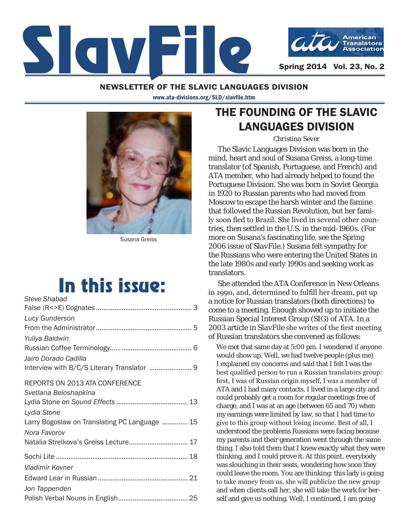

#### NEWSLETTER OF THE SLAVIC LANGUAGES DIVISION

www.ata-divisions.org/SLD/slavfile.htm



Susana Greiss

# In this issue:

| <b>Steve Shabad</b>                           |
|-----------------------------------------------|
|                                               |
| <b>Lucy Gunderson</b>                         |
|                                               |
| Yuliya Baldwin                                |
|                                               |
| Jairo Dorado Cadilla                          |
| Interview with B/C/S Literary Translator  9   |
| REPORTS ON 2013 ATA CONFERENCE                |
| Svetlana Beloshapkina                         |
|                                               |
| Lydia Stone                                   |
| Larry Bogoslaw on Translating PC Language  15 |
| Nora Favorov                                  |
| Natalia Strelkova's Greiss Lecture 17         |
|                                               |
| Vladimir Kovner                               |
|                                               |
| Jon Tappenden                                 |
|                                               |

### THE FOUNDING OF THE SLAVIC LANGUAGES DIVISION

*Christina Sever*

The Slavic Languages Division was born in the mind, heart and soul of Susana Greiss, a long-time translator (of Spanish, Portuguese, and French) and ATA member, who had already helped to found the Portuguese Division. She was born in Soviet Georgia in 1920 to Russian parents who had moved from Moscow to escape the harsh winter and the famine that followed the Russian Revolution, but her family soon fled to Brazil. She lived in several other countries, then settled in the U.S. in the mid-1960s. (For more on Susana's fascinating life, see the [Spring](http://atasld.org/sites/atasld.org/files/slavfile/spring-2006.pdf)  [2006 issue of](http://atasld.org/sites/atasld.org/files/slavfile/spring-2006.pdf) *SlavFile*.) Susana felt sympathy for the Russians who were entering the United States in the late 1980s and early 1990s and seeking work as translators.

She attended the ATA Conference in New Orleans in 1990, and, determined to fulfill her dream, put up a notice for Russian translators (both directions) to come to a meeting. Enough showed up to initiate the Russian Special Interest Group (SIG) of ATA. In a 2003 article in *SlavFile* she writes of the first meeting of Russian translators she convened as follows:

We met that same day at 5:00 pm. I wondered if anyone would show up. Well, we had twelve people (plus me) I explained my concerns and said that I felt I was the best qualified person to run a Russian translators group: first, I was of Russian origin myself, I was a member of ATA and I had many contacts. I lived in a large city and could probably get a room for regular meetings free of charge, and I was at an age (between 65 and 70) when my earnings were limited by law, so that I had time to give to this group without losing income. Best of all, I understood the problems Russians were facing because my parents and their generation went through the same thing. I also told them that I knew exactly what they were thinking, and I could prove it. At this point, everybody was slouching in their seats, wondering how soon they could leave the room. You are thinking: this lady is going to take money from us, she will publicize the new group and when clients call her, she will take the work for herself and give us nothing. Well, I continued, I am going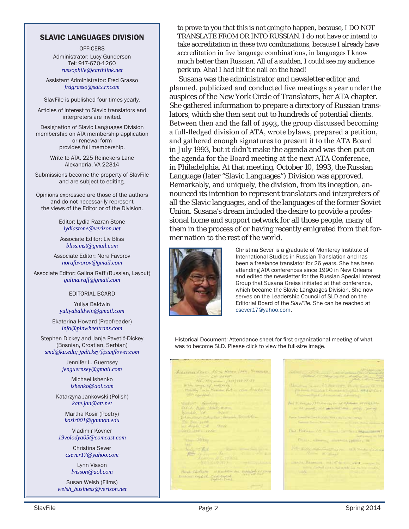#### SLAVIC LANGUAGES DIVISION

**OFFICERS** Administrator: Lucy Gunderson Tel: 917-670-1260 *russophile@earthlink.net*

Assistant Administrator: Fred Grasso *frdgrasso@satx.rr.com*

SlavFile is published four times yearly.

Articles of interest to Slavic translators and interpreters are invited.

Designation of Slavic Languages Division membership on ATA membership application or renewal form provides full membership.

> Write to ATA, 225 Reinekers Lane Alexandria, VA 22314

Submissions become the property of SlavFile and are subject to editing.

Opinions expressed are those of the authors and do not necessarily represent the views of the Editor or of the Division.

> Editor: Lydia Razran Stone *lydiastone@verizon.net*

Associate Editor: Liv Bliss *bliss.mst@gmail.com*

Associate Editor: Nora Favorov *norafavorov@gmail.com*

Associate Editor: Galina Raff (Russian, Layout) *galina.raff@gmail.com*

#### EDITORIAL BOARD

Yuliya Baldwin *yuliyabaldwin@gmail.com*

Ekaterina Howard (Proofreader) *info@pinwheeltrans.com*

Stephen Dickey and Janja Pavetić-Dickey (Bosnian, Croatian, Serbian) *smd@ku.edu; jpdickey@sunflower.com*

> Jennifer L. Guernsey *jenguernsey@gmail.com*

> > Michael Ishenko *ishenko@aol.com*

Katarzyna Jankowski (Polish) *kate.jan@att.net*

Martha Kosir (Poetry) *kosir001@gannon.edu*

Vladimir Kovner *19volodya05@comcast.com*

> Christina Sever *csever17@yahoo.com*

Lynn Visson *lvisson@aol.com*

Susan Welsh (Films) *welsh\_business@verizon.net*  to prove to you that this is not going to happen, because, I DO NOT TRANSLATE FROM OR INTO RUSSIAN. I do not have or intend to take accreditation in these two combinations, because I already have accreditation in five language combinations, in languages I know much better than Russian. All of a sudden, I could see my audience perk up. Aha! I had hit the nail on the head!

Susana was the administrator and newsletter editor and planned, publicized and conducted five meetings a year under the auspices of the New York Circle of Translators, her ATA chapter. She gathered information to prepare a directory of Russian translators, which she then sent out to hundreds of potential clients. Between then and the fall of 1993, the group discussed becoming a full-fledged division of ATA, wrote bylaws, prepared a petition, and gathered enough signatures to present it to the ATA Board in July 1993, but it didn't make the agenda and was then put on the agenda for the Board meeting at the next ATA Conference, in Philadelphia. At that meeting, October 10, 1993, the Russian Language (later "Slavic Languages") Division was approved. Remarkably, and uniquely, the division, from its inception, announced its intention to represent translators and interpreters of all the Slavic languages, and of the languages of the former Soviet Union. Susana's dream included the desire to provide a professional home and support network for all those people, many of them in the process of or having recently emigrated from that former nation to the rest of the world.



Christina Sever is a graduate of Monterey Institute of International Studies in Russian Translation and has been a freelance translator for 26 years. She has been attending ATA conferences since 1990 in New Orleans and edited the newsletter for the Russian Special Interest Group that Susana Greiss initiated at that conference, which became the Slavic Languages Division. She now serves on the Leadership Council of SLD and on the Editorial Board of the *SlavFile*. She can be reached at csever17@yahoo.com.

Historical Document: Attendance sheet for first organizational meeting of what was to become SLD. Please click to view the full-size image.

ALCOHOLOGICAL ROSE HOMES LONG BRANCHE  $\begin{array}{rcl} \text{MAP, B.} & \text{MAP, B.} \\ \text{MAP, MAP, F.} & \text{MAP, H.} \\ \text{MAP, H.} & \text{MAP, H.} \\ \text{MAP, H.} & \text{MAP, H.} \\ \text{MAP, H.} & \text{MAP, H.} \\ \text{MAP, H.} & \text{MAP, H.} \\ \text{MAP, H.} & \text{MAP, H.} \\ \text{MAP, H.} & \text{MAP, H.} \\ \text{MAP, H.} & \text{MAP, H.} \\ \text{MAP, H.} & \text{MAP, H.} \\ \text{MAP, H.}$ William of the first criterio establistas and they diverse. anning common common Township De Barbara<br>Lind The Lind Perk Ser Strike Const Children standard an explored approx

Unions Spencett Architects, August )<br>In the same (199 hours in the of filmer or Figs. 1)<br>In the party, and address that is prop, a party weeks and sometime conversions **Contract Contract Contract Contract Contract Contract Contract Contract Contract Contract Contract Contract Contract Contract Contract Contract Contract Contract Contract Contract Contract Contract Contract Contract Contr** this Making the a small be the chapter and or Camera a more galaxy and public can **Britain Market Commercial Commercial Commercial Commercial Commercial Commercial Commercial Commercial Commercial Commercial Commercial Commercial Commercial Commercial Commercial Commercial Commercial Commercial Commerci** ante l'emmer mestre au vois ing Masseum and IT is a country<br>The Contact of California and California<br>The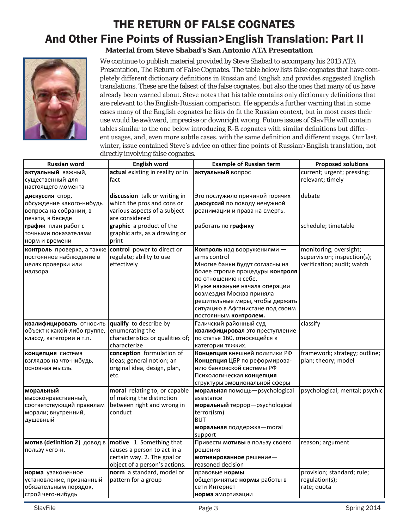### THE RETURN OF FALSE COGNATES And Other Fine Points of Russian>English Translation: Part II **Material from Steve Shabad's San Antonio ATA Presentation**



We continue to publish material provided by Steve Shabad to accompany his 2013 ATA Presentation, *The Return of False Cognates*. The table below lists false cognates that have completely different dictionary definitions in Russian and English and provides suggested English translations. These are the falsest of the false cognates, but also the ones that many of us have already been warned about. Steve notes that his table contains only dictionary definitions that are relevant to the English-Russian comparison. He appends a further warning that in some cases many of the English cognates he lists do fit the Russian context, but in most cases their use would be awkward, imprecise or downright wrong. Future issues of *SlavFile* will contain tables similar to the one below introducing R-E cognates with similar definitions but different usages, and, even more subtle cases, with the same definition and different usage. Our last, winter, issue contained Steve's advice on other fine points of Russian>English translation, not directly involving false cognates.

| <b>Russian word</b>                                                                             | <b>English word</b>                                                                                                     | <b>Example of Russian term</b>                                                                                                                                                                                                                                                                          | <b>Proposed solutions</b>                                                           |
|-------------------------------------------------------------------------------------------------|-------------------------------------------------------------------------------------------------------------------------|---------------------------------------------------------------------------------------------------------------------------------------------------------------------------------------------------------------------------------------------------------------------------------------------------------|-------------------------------------------------------------------------------------|
| актуальный важный,<br>существенный для<br>настоящего момента                                    | actual existing in reality or in<br>fact                                                                                | актуальный вопрос                                                                                                                                                                                                                                                                                       | current; urgent; pressing;<br>relevant; timely                                      |
| дискуссия спор,<br>обсуждение какого-нибудь<br>вопроса на собрании, в<br>печати, в беседе       | discussion talk or writing in<br>which the pros and cons or<br>various aspects of a subject<br>are considered           | Это послужило причиной горячих<br>дискуссий по поводу ненужной<br>реанимации и права на смерть.                                                                                                                                                                                                         | debate                                                                              |
| график план работ с<br>точными показателями<br>норм и времени                                   | graphic a product of the<br>graphic arts, as a drawing or<br>print                                                      | работать по графику                                                                                                                                                                                                                                                                                     | schedule; timetable                                                                 |
| контроль проверка, а также<br>постоянное наблюдение в<br>целях проверки или<br>надзора          | control power to direct or<br>regulate; ability to use<br>effectively                                                   | Контроль над вооружениями -<br>arms control<br>Многие банки будут согласны на<br>более строгие процедуры контроля<br>по отношению к себе.<br>И уже накануне начала операции<br>возмездия Москва приняла<br>решительные меры, чтобы держать<br>ситуацию в Афганистане под своим<br>постоянным контролем. | monitoring; oversight;<br>supervision; inspection(s);<br>verification; audit; watch |
| квалифицировать относить<br>объект к какой-либо группе,<br>классу, категории и т.п.             | qualify to describe by<br>enumerating the<br>characteristics or qualities of;<br>characterize                           | Галичский районный суд<br>квалифицировал это преступление<br>по статье 160, относящейся к<br>категории тяжких.                                                                                                                                                                                          | classify                                                                            |
| концепция система<br>взглядов на что-нибудь,<br>основная мысль.                                 | conception formulation of<br>ideas; general notion; an<br>original idea, design, plan,<br>etc.                          | Концепция внешней политики РФ<br>Концепция ЦБР по реформирова-<br>нию банковской системы РФ<br>Психологическая концепция<br>структуры эмоциональной сферы                                                                                                                                               | framework; strategy; outline;<br>plan; theory; model                                |
| моральный<br>высоконравственный,<br>соответствующий правилам<br>морали; внутренний,<br>душевный | moral relating to, or capable<br>of making the distinction<br>between right and wrong in<br>conduct                     | моральная помощь-psychological<br>assistance<br>моральный террор-psychological<br>terror(ism)<br><b>BUT</b><br>моральная поддержка-moral<br>support                                                                                                                                                     | psychological; mental; psychic                                                      |
| мотив (definition 2) довод в<br>пользу чего-н.                                                  | motive 1. Something that<br>causes a person to act in a<br>certain way. 2. The goal or<br>object of a person's actions. | Привести мотивы в пользу своего<br>решения<br>мотивированное решение-<br>reasoned decision                                                                                                                                                                                                              | reason; argument                                                                    |
| норма узаконенное<br>установление, признанный<br>обязательным порядок,<br>строй чего-нибудь     | norm a standard, model or<br>pattern for a group                                                                        | правовые нормы<br>общепринятые нормы работы в<br>сети Интернет<br>норма амортизации                                                                                                                                                                                                                     | provision; standard; rule;<br>regulation(s);<br>rate; quota                         |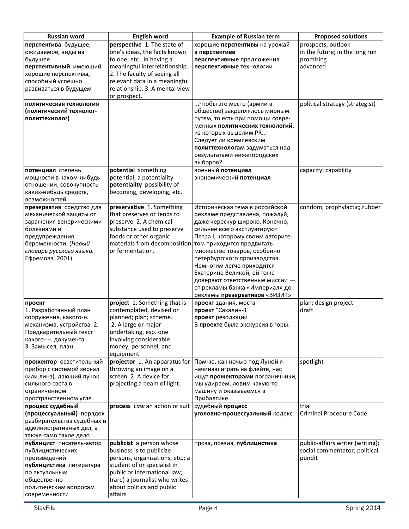| Russian word                                                                                                                                                                         | <b>English word</b>                                                                                                                                                                                                                          | <b>Example of Russian term</b>                                                                                                                                                                                                                                                                                                                                                                                                       | <b>Proposed solutions</b>                                                     |
|--------------------------------------------------------------------------------------------------------------------------------------------------------------------------------------|----------------------------------------------------------------------------------------------------------------------------------------------------------------------------------------------------------------------------------------------|--------------------------------------------------------------------------------------------------------------------------------------------------------------------------------------------------------------------------------------------------------------------------------------------------------------------------------------------------------------------------------------------------------------------------------------|-------------------------------------------------------------------------------|
| перспектива будущее,<br>ожидаемое, виды на<br>будущее<br>перспективный имеющий<br>хорошие перспективы,<br>способный успешно<br>развиваться в будущем                                 | perspective 1. The state of<br>one's ideas, the facts known<br>to one, etc., in having a<br>meaningful interrelationship.<br>2. The faculty of seeing all<br>relevant data in a meaningful<br>relationship. 3. A mental view<br>or prospect. | хорошие перспективы на урожай<br>в перспективе<br>перспективные предложения<br>перспективные технологии                                                                                                                                                                                                                                                                                                                              | prospects; outlook<br>in the future; in the long run<br>promising<br>advanced |
| политическая технология<br>(политический технолог-<br>политтехнолог)                                                                                                                 |                                                                                                                                                                                                                                              | Чтобы это место (армии в<br>обществе) закреплялось мирным<br>путем, то есть при помощи совре-<br>менных политических технологий,<br>из которых выделим PR<br>Следует ли кремлевским<br>политтехнологам задуматься над<br>результатами нижегородских<br>выборов?                                                                                                                                                                      | political strategy (strategist)                                               |
| потенциал степень<br>мощности в каком-нибудь<br>отношении, совокупность<br>каких-нибудь средств,<br>возможностей                                                                     | potential something<br>potential; a potentiality<br>potentiality possibility of<br>becoming, developing, etc.                                                                                                                                | военный потенциал<br>экономический потенциал                                                                                                                                                                                                                                                                                                                                                                                         | capacity; capability                                                          |
| презерватив средство для<br>механической защиты от<br>заражения венерическими<br>болезнями и<br>предупреждения<br>беременности. (Новый<br>словарь русского языка.<br>Ефремова. 2001) | preservative 1. Something<br>that preserves or tends to<br>preserve. 2. A chemical<br>substance used to preserve<br>foods or other organic<br>materials from decomposition<br>or fermentation.                                               | Историческая тема в российской<br>рекламе представлена, пожалуй,<br>даже чересчур широко. Конечно,<br>сильнее всего эксплуатируют<br>Петра I, которому своим авторите-<br>том приходится продвигать<br>множество товаров, особенно<br>петербургского производства.<br>Немногим легче приходится<br>Екатерине Великой, ей тоже<br>доверяют ответственные миссии -<br>от рекламы банка «Империал» до<br>рекламы презервативов «ВИЗИТ». | condom; prophylactic; rubber                                                  |
| проект<br>1. Разработанный план<br>сооружения, какого-н.<br>механизма, устройства. 2.<br>Предварительный текст<br>какого- н. документа.<br>3. Замысел, план.                         | project 1. Something that is<br>contemplated, devised or<br>planned; plan; scheme.<br>2. A large or major<br>undertaking, esp. one<br>involving considerable<br>money, personnel, and<br>equipment.                                          | проект здания, моста<br>проект "Сахалин-1"<br>проект резолюции<br>В проекте была экскурсия в горы.                                                                                                                                                                                                                                                                                                                                   | plan; design project<br>draft                                                 |
| прожектор осветительный<br>прибор с системой зеркал<br>(или линз), дающий пучок<br>сильного света в<br>ограниченном<br>пространственном угле                                         | throwing an image on a<br>screen. 2. A device for<br>projecting a beam of light.                                                                                                                                                             | projector 1. An apparatus for   Помню, как ночью под Луной я<br>начинаю играть на флейте, нас<br>ищут прожекторами пограничники,<br>мы удираем, ловим какую-то<br>машину и оказываемся в<br>Прибалтике.                                                                                                                                                                                                                              | spotlight                                                                     |
| процесс судебный<br>(процессуальный) порядок<br>разбирательства судебных и<br>административных дел, а<br>также само такое дело                                                       | process Law an action or suit   судебный процесс                                                                                                                                                                                             | уголовно-процессуальный кодекс                                                                                                                                                                                                                                                                                                                                                                                                       | trial<br><b>Criminal Procedure Code</b>                                       |
| публицист писатель-автор<br>публицистических<br>произведений<br>публицистика литература<br>по актуальным<br>общественно-<br>политическим вопросам<br>современности                   | publicist a person whose<br>business is to publicize<br>persons, organizations, etc.; a<br>student of or specialist in<br>public or international law;<br>(rare) a journalist who writes<br>about politics and public<br>affairs             | проза, поэзия, публицистика                                                                                                                                                                                                                                                                                                                                                                                                          | public-affairs writer (writing);<br>social commentator; political<br>pundit   |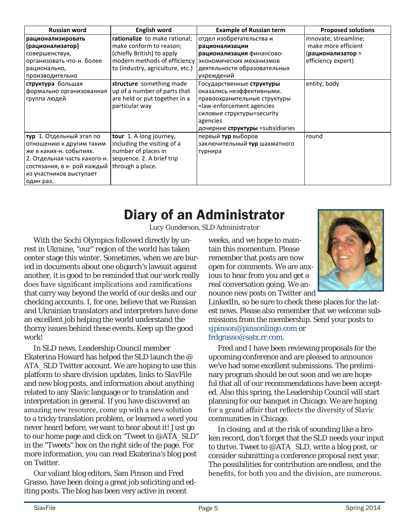| <b>Russian word</b>                                      | <b>English word</b>              | <b>Example of Russian term</b>   | <b>Proposed solutions</b> |
|----------------------------------------------------------|----------------------------------|----------------------------------|---------------------------|
| рационализировать                                        | rationalize to make rational;    | отдел изобретательства и         | innovate; streamline;     |
| (рационализатор)                                         | make conform to reason;          | рационализации                   | make more efficient       |
| совершенствуя,                                           | (chiefly British) to apply       | рационализация финансово-        | (рационализатор =         |
| организовать что-н. более                                | modern methods of efficiency     | экономических механизмов         | efficiency expert)        |
| рационально,                                             | to (industry, agriculture, etc.) | деятельности образовательных     |                           |
| производительно                                          |                                  | учреждений                       |                           |
| структура большая                                        | structure something made         | Государственные структуры        | entity; body              |
| формально организованная                                 | up of a number of parts that     | оказались неэффективными.        |                           |
| группа людей                                             | are held or put together in a    | правоохранительные структуры     |                           |
|                                                          | particular way                   | =law-enforcement agencies        |                           |
|                                                          |                                  | силовые структуры=security       |                           |
|                                                          |                                  | agencies                         |                           |
|                                                          |                                  | дочерние структуры =subsidiaries |                           |
| тур 1. Отдельный этап по                                 | tour 1. A long journey,          | первый тур выборов               | round                     |
| отношению к другим таким                                 | including the visiting of a      | заключительный тур шахматного    |                           |
| же в каких-н. событиях.                                  | number of places in              | турнира                          |                           |
| 2. Отдельная часть какого-н.   sequence. 2. A brief trip |                                  |                                  |                           |
| состязания, в к- рой каждый through a place.             |                                  |                                  |                           |
| из участников выступает                                  |                                  |                                  |                           |
| один раз.                                                |                                  |                                  |                           |

## Diary of an Administrator

*Lucy Gunderson, SLD Administrator*

With the Sochi Olympics followed directly by unrest in Ukraine, "our" region of the world has taken center stage this winter. Sometimes, when we are buried in documents about one oligarch's lawsuit against another, it is good to be reminded that our work really does have significant implications and ramifications that carry way beyond the world of our desks and our checking accounts. I, for one, believe that we Russian and Ukrainian translators and interpreters have done an excellent job helping the world understand the thorny issues behind these events. Keep up the good work!

In SLD news, Leadership Council member Ekaterina Howard has helped the SLD launch the @ ATA\_SLD Twitter account. We are hoping to use this platform to share division updates, links to *SlavFile*  and new blog posts, and information about anything related to any Slavic language or to translation and interpretation in general. If you have discovered an amazing new resource, come up with a new solution to a tricky translation problem, or learned a word you never heard before, we want to hear about it! Just go to our home page and click on "Tweet to @ATA\_SLD" in the "Tweets" box on the right side of the page. For more information, you can read Ekaterina's [blog post](http://atasld.org/blog-entry/slavic-languages-division-twitter-account-launched)  [on Twitter.](http://atasld.org/blog-entry/slavic-languages-division-twitter-account-launched)

Our valiant blog editors, Sam Pinson and Fred Grasso, have been doing a great job soliciting and editing posts. The blog has been very active in recent

weeks, and we hope to maintain this momentum. Please remember that posts are now open for comments. We are anxious to hear from you and get a real conversation going. We announce new posts on Twitter and

LinkedIn, so be sure to check these places for the latest news. Please also remember that we welcome submissions from the membership. Send your posts to [sjpinson@pinsonlingo.com](mailto:sjpinson@pinsonlingo.com) or [frdgrasso@satx.rr.com.](mailto:frdgrasso@satx.rr.com)

Fred and I have been reviewing proposals for the upcoming conference and are pleased to announce we've had some excellent submissions. The preliminary program should be out soon and we are hopeful that all of our recommendations have been accepted. Also this spring, the Leadership Council will start planning for our banquet in Chicago. We are hoping for a grand affair that reflects the diversity of Slavic communities in Chicago.

In closing, and at the risk of sounding like a broken record, don't forget that the SLD needs your input to thrive. Tweet to @ATA\_SLD, write a blog post, or consider submitting a conference proposal next year. The possibilities for contribution are endless, and the benefits, for both you and the division, are numerous.

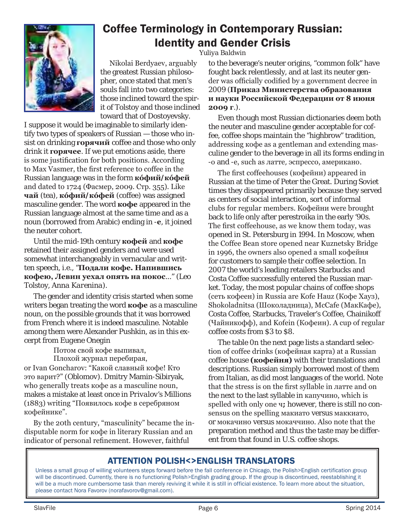<span id="page-5-0"></span>

### Coffee Terminology in Contemporary Russian: Identity and Gender Crisis

Nikolai Berdyaev, arguably the greatest Russian philosopher, once stated that men's souls fall into two categories: those inclined toward the spirit of Tolstoy and those inclined toward that of Dostoyevsky.

I suppose it would be imaginable to similarly identify two types of speakers of Russian — those who insist on drinking **горячий** coffee and those who only drink it **горячее**. If we put emotions aside, there is some justification for both positions. According to Max Vasmer, the first reference to coffee in the Russian language was in the form **кóфий***/***кóфей** and dated to 1724 (Фасмер, 2009. Стр. 355). Like **чай** (tea), **кóфий***/***кóфей** (coffee) was assigned masculine gender. The word **кофе** appeared in the Russian language almost at the same time and as a noun (borrowed from Arabic) ending in -**е**, it joined the neuter cohort.

Until the mid-19th century **кофей** and **кофе** retained their assigned genders and were used somewhat interchangeably in vernacular and written speech, i.e., "**Подали кофе. Напившись кофею, Левин уехал опять на покос**..." (Leo Tolstoy, *Anna Karenina*).

The gender and identity crisis started when some writers began treating the word **кофе** as a masculine noun, on the possible grounds that it was borrowed from French where it is indeed masculine. Notable among them were Alexander Pushkin, as in this excerpt from *Eugene Onegin*

Потом свой кофе выпивал, Плохой журнал перебирая, or Ivan Goncharov: "Какой славный кофе! Кто это варит?" (*Oblomov*). Dmitry Mamin-Sibiryak, who generally treats кофе as a masculine noun, makes a mistake at least once in *Privalov's Millions*  (1883) writing "Появилось кофе в серебряном кофейнике".

By the 20th century, "masculinity" became the indisputable norm for кофе in literary Russian and an indicator of personal refinement. However, faithful

*Yuliya Baldwin*

to the beverage's neuter origins, "common folk" have fought back relentlessly, and at last its neuter gender was officially codified by a government decree in 2009 (**Приказ Министерства образования и науки Российской Федерации от 8 июня 2009 г**.).

Even though most Russian dictionaries deem both the neuter and masculine gender acceptable for coffee, coffee shops maintain the "highbrow" tradition, addressing кофе as a gentleman and extending masculine gender to the beverage in all its forms ending in *-*о and *-*е, such as латте*,* эспрессо, американо*.* 

The first coffeehouses (кофейни) appeared in Russian at the time of Peter the Great. During Soviet times they disappeared primarily because they served as centers of social interaction, sort of informal clubs for regular members. Кофейни were brought back to life only after perestroika in the early '90s. The first coffeehouse, as we know them today, was opened in St. Petersburg in 1994. In Moscow, when the Coffee Bean store opened near Kuznetsky Bridge in 1996, the owners also opened a small кофейня for customers to sample their coffee selection. In 2007 the world's leading retailers Starbucks and Costa Coffee successfully entered the Russian market. Today, the most popular chains of coffee shops (сеть кофеен) in Russia are Kofe Hauz (Кофе Хауз), Shokoladnitsa (Шоколадница), McCafe (МакКафе), Costa Coffee, Starbucks, Traveler's Coffee, Chainikoff (Чайникофф), and Kofein (Кофеин). A cup of regular coffee costs from \$3 to \$8.

The table 0n the next page lists a standard selection of coffee drinks (кофейная карта) at a Russian coffee house **(кофейня)** with their translations and descriptions. Russian simply borrowed most of them from Italian, as did most languages of the world. Note that the stress is on the first syllable in латте and on the next to the last syllable in капучино, which is spelled with only one ч*;* however, there is still no consensus on the spelling макиато versus маккиато, or мокачино versus мокаччино. Also note that the preparation method and thus the taste may be different from that found in U.S. coffee shops.

#### ATTENTION POLISH<>ENGLISH TRANSLATORS

Unless a small group of willing volunteers steps forward before the fall conference in Chicago, the Polish>English certification group will be discontinued. Currently, there is no functioning Polish>English grading group. If the group is discontinued, reestablishing it will be a much more cumbersome task than merely reviving it while it is still in official existence. To learn more about the situation, please contact Nora Favorov (norafavorov@gmail.com).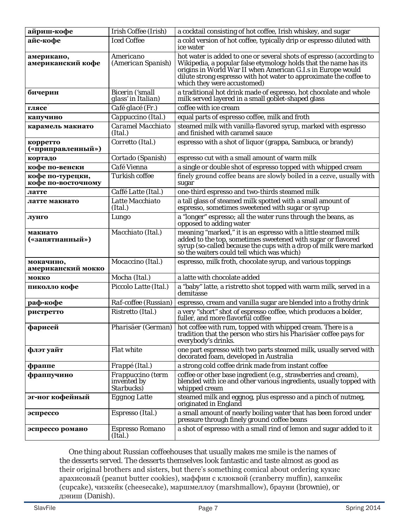| айриш-кофе                             | Irish Coffee (Irish)                                          | a cocktail consisting of hot coffee, Irish whiskey, and sugar                                                                                                                                                                                                                                                |
|----------------------------------------|---------------------------------------------------------------|--------------------------------------------------------------------------------------------------------------------------------------------------------------------------------------------------------------------------------------------------------------------------------------------------------------|
| айс-кофе                               | <b>Iced Coffee</b>                                            | a cold version of hot coffee, typically drip or espresso diluted with<br>ice water                                                                                                                                                                                                                           |
| американо,<br>американский кофе        | Americano<br>(American Spanish)                               | hot water is added to one or several shots of espresso (according to<br>Wikipedia, a popular false etymology holds that the name has its<br>origins in World War II when American G.I.s in Europe would<br>dilute strong espresso with hot water to approximate the coffee to<br>which they were accustomed) |
| бичерин                                | <b>Bicerin</b> ('small<br>glass' in Italian)                  | a traditional hot drink made of espresso, hot chocolate and whole<br>milk served layered in a small goblet-shaped glass                                                                                                                                                                                      |
| глясе                                  | Café glacé (Fr.)                                              | coffee with ice cream                                                                                                                                                                                                                                                                                        |
| капучино                               | Cappuccino (Ital.)                                            | equal parts of espresso coffee, milk and froth                                                                                                                                                                                                                                                               |
| карамель макиато                       | Caramel Macchiato<br>(Ital.)                                  | steamed milk with vanilla-flavored syrup, marked with espresso<br>and finished with caramel sauce                                                                                                                                                                                                            |
| корретто<br>(«приправленный»)          | Corretto (Ital.)                                              | espresso with a shot of liquor (grappa, Sambuca, or brandy)                                                                                                                                                                                                                                                  |
| кортадо                                | Cortado (Spanish)                                             | espresso cut with a small amount of warm milk                                                                                                                                                                                                                                                                |
| кофе по-венски                         | Café Vienna                                                   | a single or double shot of espresso topped with whipped cream                                                                                                                                                                                                                                                |
| кофе по-турецки,<br>кофе по-восточному | Turkish coffee                                                | finely ground coffee beans are slowly boiled in a cezve, usually with<br>sugar                                                                                                                                                                                                                               |
| латте                                  | Caffé Latte (Ital.)                                           | one-third espresso and two-thirds steamed milk                                                                                                                                                                                                                                                               |
| латте макиато                          | Latte Macchiato<br>(Ital.)                                    | a tall glass of steamed milk spotted with a small amount of<br>espresso, sometimes sweetened with sugar or syrup                                                                                                                                                                                             |
| лунго                                  | Lungo                                                         | a "longer" espresso; all the water runs through the beans, as<br>opposed to adding water                                                                                                                                                                                                                     |
| макиато<br>(«запятнанный»)             | Macchiato (Ital.)                                             | meaning "marked," it is an espresso with a little steamed milk<br>added to the top, sometimes sweetened with sugar or flavored<br>syrup (so-called because the cups with a drop of milk were marked<br>so the waiters could tell which was which)                                                            |
| мокачино,<br>американский мокко        | Mocaccino (Ital.)                                             | espresso, milk froth, chocolate syrup, and various toppings                                                                                                                                                                                                                                                  |
| мокко                                  | Mocha (Ital.)                                                 | a latte with chocolate added                                                                                                                                                                                                                                                                                 |
| пиколло кофе                           | Piccolo Latte (Ital.)                                         | a "baby" latte, a ristretto shot topped with warm milk, served in a<br>demitasse                                                                                                                                                                                                                             |
| раф-кофе                               | Raf-coffee (Russian)                                          | espresso, cream and vanilla sugar are blended into a frothy drink                                                                                                                                                                                                                                            |
| ристретто                              | Ristretto (Ital.)                                             | a very "short" shot of espresso coffee, which produces a bolder,<br>fuller, and more flavorful coffee                                                                                                                                                                                                        |
| фарисей                                | Pharisäer (German)                                            | hot coffee with rum, topped with whipped cream. There is a<br>tradition that the person who stirs his <i>Pharisäer</i> coffee pays for<br>everybody's drinks.                                                                                                                                                |
| флэт уайт                              | <b>Flat white</b>                                             | one part espresso with two parts steamed milk, usually served with<br>decorated foam, developed in Australia                                                                                                                                                                                                 |
| фраппе                                 | Frappé (Ital.)                                                | a strong cold coffee drink made from instant coffee                                                                                                                                                                                                                                                          |
| фраппучино                             | Frappuccino (term<br><i>invented by</i><br><i>Starbucks</i> ) | coffee or other base ingredient (e.g., strawberries and cream),<br>blended with ice and other various ingredients, usually topped with<br>whipped cream                                                                                                                                                      |
| эг-ног кофейный                        | <b>Eggnog Latte</b>                                           | steamed milk and eggnog, plus espresso and a pinch of nutmeg,<br>originated in England                                                                                                                                                                                                                       |
| эспрессо                               | Espresso (Ital.)                                              | a small amount of nearly boiling water that has been forced under<br>pressure through finely ground coffee beans                                                                                                                                                                                             |
| эспрессо романо                        | Espresso Romano<br>(Ital.)                                    | a shot of espresso with a small rind of lemon and sugar added to it                                                                                                                                                                                                                                          |

One thing about Russian coffeehouses that usually makes me smile is the names of the desserts served. The desserts themselves look fantastic and taste almost as good as their original brothers and sisters, but there's something comical about ordering кукис арахисовый (peanut butter cookies), маффин с клюквой (cranberry muffin), капкейк (cupcake), чизкейк (cheesecake), маршмеллоу (marshmallow), брауни (brownie), or дэниш (Danish).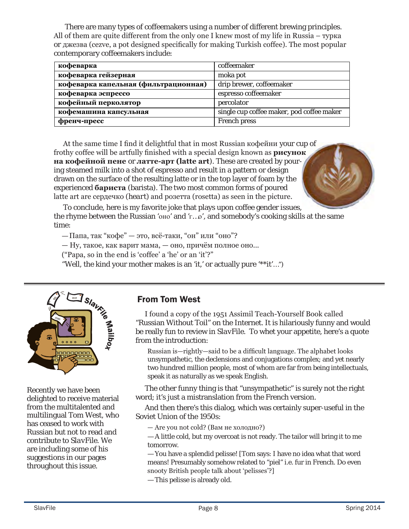There are many types of coffeemakers using a number of different brewing principles. All of them are quite different from the only one I knew most of my life in Russia – турка *or* джезва (cezve, a pot designed specifically for making Turkish coffee). The most popular contemporary coffeemakers include:

| кофеварка                            | coffeemaker                               |
|--------------------------------------|-------------------------------------------|
| кофеварка гейзерная                  | moka pot                                  |
| кофеварка капельная (фильтрационная) | drip brewer, coffeemaker                  |
| кофеварка эспрессо                   | espresso coffeemaker                      |
| кофейный перколятор                  | percolator                                |
| кофемашина капсульная                | single cup coffee maker, pod coffee maker |
| френч-пресс                          | <b>French press</b>                       |

At the same time I find it delightful that in most Russian кофейни your cup of frothy coffee will be artfully finished with a special design known as **рисунок на кофейной пене** or **латте-арт (latte art**). These are created by pouring steamed milk into a shot of espresso and result in a pattern or design drawn on the surface of the resulting latte or in the top layer of foam by the experienced **бариста** (barista). The two most common forms of poured latte art are сердечко (*heart*) and розетта (rosetta) as seen in the picture.

To conclude, here is my favorite joke that plays upon coffee gender issues, the rhyme between the Russian 'оно' and 'г…о', and somebody's cooking skills at the same time:

— Папа, так "кофе" — это, всё-таки, "он" или "оно"?

— Ну, такое, как варит мама, — оно, причём полное оно...

("Papa, so in the end is 'coffee' a 'he' or an 'it'?"

"Well, the kind your mother makes is an 'it,' or actually pure '\*\*it'…")



Recently we have been delighted to receive material from the multitalented and multilingual Tom West, who has ceased to work with Russian but not to read and contribute to *SlavFile*. We are including some of his suggestions in our pages throughout this issue.

#### From Tom West

I found a copy of the 1951 Assimil Teach-Yourself Book called "Russian Without Toil" on the Internet. It is hilariously funny and would be really fun to review in *SlavFile*. To whet your appetite, here's a quote from the introduction:

Russian is—rightly—said to be a difficult language. The alphabet looks unsympathetic, the declensions and conjugations complex; and yet nearly two hundred million people, most of whom are far from being intellectuals, speak it as naturally as we speak English.

The other funny thing is that "unsympathetic" is surely not the right word; it's just a mistranslation from the French version.

And then there's this dialog, which was certainly super-useful in the Soviet Union of the 1950s:

— Are you not cold? (Вам не холодно?)

— A little cold, but my overcoat is not ready. The tailor will bring it to me tomorrow.

— You have a splendid pelisse! [Tom says: I have no idea what that word means! Presumably somehow related to "piel" i.e. fur in French. Do even snooty British people talk about 'pelisses'?]

— This pelisse is already old.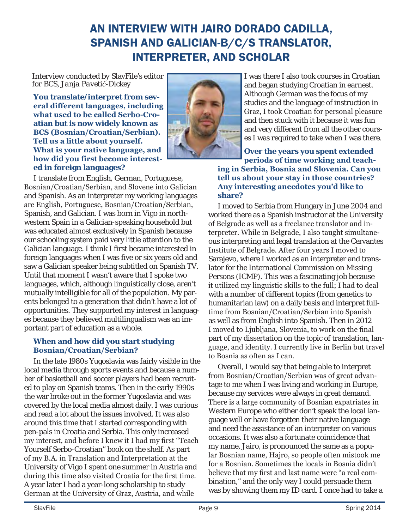### AN INTERVIEW WITH JAIRO DORADO CADILLA, SPANISH AND GALICIAN-B/C/S TRANSLATOR, INTERPRETER, AND SCHOLAR

*Interview conducted by* SlavFile's *editor for BCS, Janja Pavetić-Dickey*

**You translate/interpret from several different languages, including what used to be called Serbo-Croatian but is now widely known as BCS (Bosnian/Croatian/Serbian). Tell us a little about yourself. What is your native language, and how did you first become interested in foreign languages?** 



I translate from English, German, Portuguese, Bosnian/Croatian/Serbian, and Slovene into Galician and Spanish. As an interpreter my working languages are English, Portuguese, Bosnian/Croatian/Serbian, Spanish, and Galician. I was born in Vigo in northwestern Spain in a Galician-speaking household but was educated almost exclusively in Spanish because our schooling system paid very little attention to the Galician language. I think I first became interested in foreign languages when I was five or six years old and saw a Galician speaker being subtitled on Spanish TV. Until that moment I wasn't aware that I spoke two languages, which, although linguistically close, aren't mutually intelligible for all of the population. My parents belonged to a generation that didn't have a lot of opportunities. They supported my interest in languages because they believed multilingualism was an important part of education as a whole.

#### **When and how did you start studying Bosnian/Croatian/Serbian?**

In the late 1980s Yugoslavia was fairly visible in the local media through sports events and because a number of basketball and soccer players had been recruited to play on Spanish teams. Then in the early 1990s the war broke out in the former Yugoslavia and was covered by the local media almost daily. I was curious and read a lot about the issues involved. It was also around this time that I started corresponding with pen-pals in Croatia and Serbia. This only increased my interest, and before I knew it I had my first "Teach Yourself Serbo-Croatian" book on the shelf. As part of my B.A. in Translation and Interpretation at the University of Vigo I spent one summer in Austria and during this time also visited Croatia for the first time. A year later I had a year-long scholarship to study German at the University of Graz, Austria, and while

I was there I also took courses in Croatian and began studying Croatian in earnest. Although German was the focus of my studies and the language of instruction in Graz, I took Croatian for personal pleasure and then stuck with it because it was fun and very different from all the other courses I was required to take when I was there.

**Over the years you spent extended periods of time working and teaching in Serbia, Bosnia and Slovenia. Can you tell us about your stay in those countries? Any interesting anecdotes you'd like to share?** 

I moved to Serbia from Hungary in June 2004 and worked there as a Spanish instructor at the University of Belgrade as well as a freelance translator and interpreter. While in Belgrade, I also taught simultaneous interpreting and legal translation at the Cervantes Institute of Belgrade. After four years I moved to Sarajevo, where I worked as an interpreter and translator for the International Commission on Missing Persons (ICMP). This was a fascinating job because it utilized my linguistic skills to the full; I had to deal with a number of different topics (from genetics to humanitarian law) on a daily basis and interpret fulltime from Bosnian/Croatian/Serbian into Spanish as well as from English into Spanish. Then in 2012 I moved to Ljubljana, Slovenia, to work on the final part of my dissertation on the topic of translation, language, and identity. I currently live in Berlin but travel to Bosnia as often as I can.

Overall, I would say that being able to interpret from Bosnian/Croatian/Serbian was of great advantage to me when I was living and working in Europe, because my services were always in great demand. There is a large community of Bosnian expatriates in Western Europe who either don't speak the local language well or have forgotten their native language and need the assistance of an interpreter on various occasions. It was also a fortunate coincidence that my name, Jairo, is pronounced the same as a popular Bosnian name, Hajro, so people often mistook me for a Bosnian. Sometimes the locals in Bosnia didn't believe that my first and last name were "a real combination," and the only way I could persuade them was by showing them my ID card. I once had to take a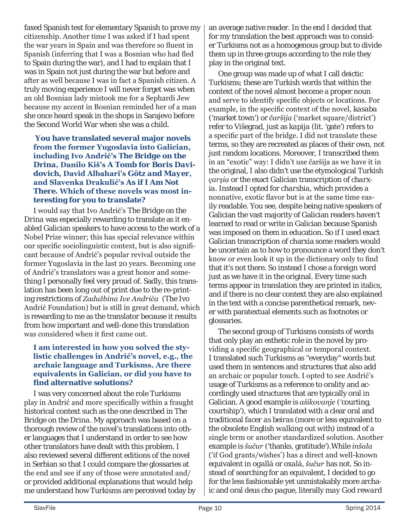faxed Spanish test for elementary Spanish to prove my citizenship. Another time I was asked if I had spent the war years in Spain and was therefore so fluent in Spanish (inferring that I was a Bosnian who had fled to Spain during the war), and I had to explain that I was in Spain not just during the war but before and after as well because I was in fact a Spanish citizen. A truly moving experience I will never forget was when an old Bosnian lady mistook me for a Sephardi Jew because my accent in Bosnian reminded her of a man she once heard speak in the shops in Sarajevo before the Second World War when she was a child.

#### **You have translated several major novels from the former Yugoslavia into Galician, including Ivo Andrić's** *The Bridge on the Drina***, Danilo Kiš's** *A Tomb for Boris Davidovich***, David Albahari's** *Götz and Mayer***, and Slavenka Drakulić's** *As if I Am Not There***. Which of these novels was most interesting for you to translate?**

I would say that Ivo Andrić's *The Bridge on the Drina* was especially rewarding to translate as it enabled Galician speakers to have access to the work of a Nobel Prize winner; this has special relevance within our specific sociolinguistic context, but is also significant because of Andrić's popular revival outside the former Yugoslavia in the last 20 years. Becoming one of Andrić's translators was a great honor and something I personally feel very proud of. Sadly, this translation has been long out of print due to the re-printing restrictions of *Zadužbina Ive Andrića* (The Ivo Andrić Foundation) but is still in great demand, which is rewarding to me as the translator because it results from how important and well-done this translation was considered when it first came out.

#### **I am interested in how you solved the stylistic challenges in Andrić's novel, e.g., the archaic language and Turkisms. Are there equivalents in Galician, or did you have to find alternative solutions?**

I was very concerned about the role Turkisms play in Andrić and more specifically within a fraught historical context such as the one described in *The Bridge on the Drina*. My approach was based on a thorough review of the novel's translations into other languages that I understand in order to see how other translators have dealt with this problem. I also reviewed several different editions of the novel in Serbian so that I could compare the glossaries at the end and see if any of those were annotated and/ or provided additional explanations that would help me understand how Turkisms are perceived today by an average native reader. In the end I decided that for my translation the best approach was to consider Turkisms not as a homogenous group but to divide them up in three groups according to the role they play in the original text.

One group was made up of what I call deictic Turkisms; these are Turkish words that within the context of the novel almost become a proper noun and serve to identify specific objects or locations. For example, in the specific context of the novel, *kasaba* ('market town') or *čaršija* ('market square/district') refer to Višegrad, just as *kapija* (lit. 'gate') refers to a specific part of the bridge. I did not translate these terms, so they are recreated as places of their own, not just random locations. Moreover, I transcribed them in an "exotic" way: I didn't use čaršija as we have it in the original, I also didn't use the etymological Turkish *çarşia* or the exact Galician transcription of *charxia*. Instead I opted for *charshia*, which provides a nonnative, exotic flavor but is at the same time easily readable. You see, despite being native speakers of Galician the vast majority of Galician readers haven't learned to read or write in Galician because Spanish was imposed on them in education. So if I used exact Galician transcription of charxia some readers would be uncertain as to how to pronounce a word they don't know or even look it up in the dictionary only to find that it's not there. So instead I chose a *foreign* word just as we have it in the original. Every time such terms appear in translation they are printed in italics, and if there is no clear context they are also explained in the text with a concise parenthetical remark, never with paratextual elements such as footnotes or glossaries.

The second group of Turkisms consists of words that only play an esthetic role in the novel by providing a specific geographical or temporal context. I translated such Turkisms as "everyday" words but used them in sentences and structures that also add an archaic or popular touch. I opted to see Andrić's usage of Turkisms as a reference to orality and accordingly used structures that are typically oral in Galician. A good example is *ašikovanje* ('courting, courtship'), which I translated with a clear oral and traditional *facer as beiras* (more or less equivalent to the obsolete English *walking out with*) instead of a single term or another standardized solution. Another example is *šučur* ('thanks, gratitude').While *inšala* ('if God grants/wishes') has a direct and well-known equivalent in *ogallá* or *oxalá*, *šučur* has not. So instead of searching for an equivalent, I decided to go for the less fashionable yet unmistakably more archaic and oral *deus cho pague*, literally *may God reward*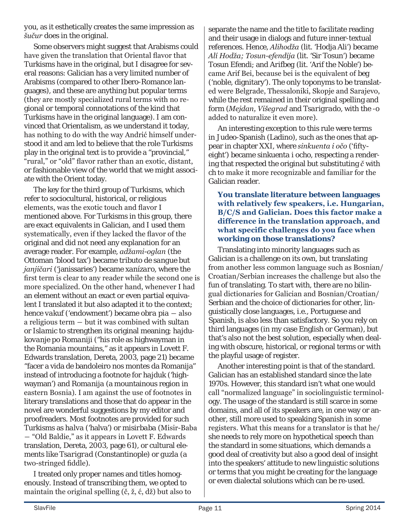*you*, as it esthetically creates the same impression as *šučur* does in the original.

Some observers might suggest that Arabisms could have given the translation that Oriental flavor that Turkisms have in the original, but I disagree for several reasons: Galician has a very limited number of Arabisms (compared to other Ibero-Romance languages), and these are anything but popular terms (they are mostly specialized rural terms with no regional or temporal connotations of the kind that Turkisms have in the original language). I am convinced that Orientalism, as we understand it today, has nothing to do with the way Andrić himself understood it and am led to believe that the role Turkisms play in the original text is to provide a "provincial," "rural," or "old" flavor rather than an exotic, distant, or fashionable view of the world that we might associate with the Orient today.

The key for the third group of Turkisms, which refer to sociocultural, historical, or religious elements, was the exotic touch and flavor I mentioned above. For Turkisms in this group, there are exact equivalents in Galician, and I used them systematically, even if they lacked the flavor of the original and did not need any explanation for an average reader. For example, *adžami-oglan* (the Ottoman 'blood tax') became *tributo de sangue* but *janjičari* ('janissaries') became *xanízaro*, where the first term is clear to any reader while the second one is more specialized. On the other hand, whenever I had an element without an exact or even partial equivalent I translated it but also adapted it to the context; hence *vakuf* ('endowment') became *obra pia* ― also a religious term ― but it was combined with *sultan* or *Islamic* to strengthen its original meaning; *hajdukovanje po Romaniji* ("his role as highwayman in the Romania mountains," as it appears in Lovett F. Edwards translation, Dereta, 2003, page 21) became "facer a vida de bandoleiro nos montes da Romanija" instead of introducing a footnote for *hajduk* ('highwayman') and *Romanija* (a mountainous region in eastern Bosnia). I am against the use of footnotes in literary translations and those that do appear in the novel are wonderful suggestions by my editor and proofreaders. Most footnotes are provided for such Turkisms as *halva* ('halva') or *misirbaba* (Misir-Baba ― "Old Baldie," as it appears in Lovett F. Edwards translation, Dereta, 2003, page 61), or cultural elements like *Tsarigrad* (Constantinople) or *guzla* (a two-stringed fiddle).

I treated only proper names and titles homogenously. Instead of transcribing them, we opted to maintain the original spelling (č, ž, ć, dž) but also to separate the name and the title to facilitate reading and their usage in dialogs and future inner-textual references. Hence, *Alihodža* (lit. 'Hodja Ali') became *Alí Hodža; Tosun-efendija* (lit. 'Sir Tosun') became *Tosun Efendi*; and *Arifbeg* (lit. 'Arif the Noble') became Arif Bei, because bei is the equivalent of *beg* ('noble, dignitary'). The only toponyms to be translated were Belgrade, Thessaloniki, Skopje and Sarajevo, while the rest remained in their original spelling and form (*Mejdan, Višegrad* and *Tsarigrado*, with the -o added to naturalize it even more).

An interesting exception to this rule were terms in Judeo-Spanish (Ladino), such as the ones that appear in chapter XXI, where *sinkuenta i očo* ('fiftyeight') became *sinkuenta i ocho*, respecting a rendering that respected the original but substituting *č* with *ch* to make it more recognizable and familiar for the Galician reader.

#### **You translate literature between languages with relatively few speakers, i.e. Hungarian, B/C/S and Galician. Does this factor make a difference in the translation approach, and what specific challenges do you face when working on those translations?**

Translating into minority languages such as Galician is a challenge on its own, but translating from another less common language such as Bosnian/ Croatian/Serbian increases the challenge but also the fun of translating. To start with, there are no bilingual dictionaries for Galician and Bosnian/Croatian/ Serbian and the choice of dictionaries for other, linguistically close languages, i.e., Portuguese and Spanish, is also less than satisfactory. So you rely on third languages (in my case English or German), but that's also not the best solution, especially when dealing with obscure, historical, or regional terms or with the playful usage of register.

Another interesting point is that of the standard. Galician has an established standard since the late 1970s. However, this standard isn't what one would call "normalized language" in sociolinguistic terminology. The usage of the standard is still scarce in some domains, and all of its speakers are, in one way or another, still more used to speaking Spanish in some registers. What this means for a translator is that he/ she needs to rely more on hypothetical speech than the standard in some situations, which demands a good deal of creativity but also a good deal of insight into the speakers' attitude to new linguistic solutions or terms that you might be creating for the language or even dialectal solutions which can be re-used.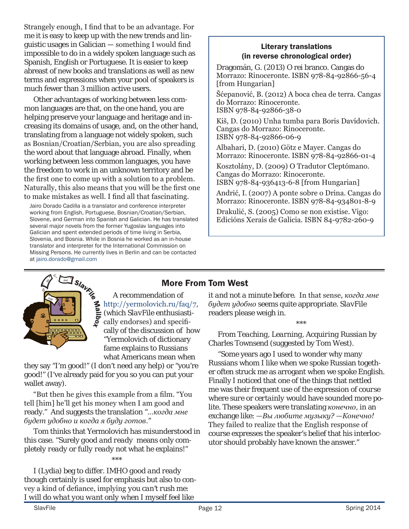Strangely enough, I find that to be an advantage. For me it is easy to keep up with the new trends and linguistic usages in Galician — something I would find impossible to do in a widely spoken language such as Spanish, English or Portuguese. It is easier to keep abreast of new books and translations as well as new terms and expressions when your pool of speakers is much fewer than 3 million active users.

Other advantages of working between less common languages are that, on the one hand, you are helping preserve your language and heritage and increasing its domains of usage, and, on the other hand, translating from a language not widely spoken, such as Bosnian/Croatian/Serbian, you are also spreading the word about that language abroad. Finally, when working between less common languages, you have the freedom to work in an unknown territory and be the first one to come up with a solution to a problem. Naturally, this also means that you will be the first one to make mistakes as well. I find all that fascinating.

Jairo Dorado Cadilla is a translator and conference interpreter working from English, Portuguese, Bosnian/Croatian/Serbian, Slovene, and German into Spanish and Galician. He has translated several major novels from the former Yugoslav languages into Galician and spent extended periods of time living in Serbia, Slovenia, and Bosnia. While in Bosnia he worked as an in-house translator and interpreter for the International Commission on Missing Persons. He currently lives in Berlin and can be contacted at [jairo.dorado@gmail.com](mailto:jairo.dorado@gmail.com)

#### Literary translations (in reverse chronological order)

Dragomán, G. (2013) O rei branco. Cangas do Morrazo: Rinoceronte. ISBN 978-84-92866-56-4 [from Hungarian]

Šćepanović, B. (2012) A boca chea de terra. Cangas do Morrazo: Rinoceronte. ISBN 978-84-92866-38-0

Kiš, D. (2010) Unha tumba para Boris Davídovich. Cangas do Morrazo: Rinoceronte. ISBN 978-84-92866-06-9

Albahari, D. (2010) Götz e Mayer. Cangas do Morrazo: Rinoceronte. ISBN 978-84-92866-01-4

Kosztolány, D. (2009) O Tradutor Cleptómano. Cangas do Morrazo: Rinoceronte. ISBN 978-84-936413-6-8 [from Hungarian]

Andrić, I. (2007) A ponte sobre o Drina. Cangas do Morrazo: Rinoceronte. ISBN 978-84-934801-8-9

Drakulić, S. (2005) Como se non existise. Vigo: Edicións Xerais de Galicia. ISBN 84-9782-260-9



A recommendation of http://yermolovich.ru/faq/7, (which *SlavFile* enthusiastically endorses) and specifically of the discussion of how "Yermolovich of dictionary fame explains to Russians what Americans mean when

they say "I'm good!" (I don't need any help) or "you're good!" (I've already paid for you so you can put your wallet away).

"But then he gives this example from a film. "You tell [him] he'll get his money when I am good and ready." And suggests the translation "*…когда мне будет удобно и когда я буду готов*."

Tom thinks that Yermolovich has misunderstood in this case. "Surely *good and ready* means only *completely ready* or *fully ready* not what he explains!"

\*\*\*

I (Lydia) beg to differ. IMHO *good and ready* though certainly is used for emphasis but also to convey a kind of defiance, implying *you can't rush me: I will do what you want only when I myself feel like* 

### More From Tom West

*it and not a minute before*. In that sensе, *когда мне будет удобно* seems quite appropriate. *SlavFile* readers please weigh in.

\*\*\*

From *Teaching, Learning, Acquiring Russian* by Charles Townsend (suggested by Tom West).

"Some years ago I used to wonder why many Russians whom I like when we spoke Russian together often struck me as arrogant when we spoke English. Finally I noticed that one of the things that nettled me was their frequent use of the expression *of course* where *sure* or *certainly* would have sounded more polite. These speakers were translating *конечно*, in an exchange like: *—Вы любите музыку? —Конечно!* They failed to realize that the English response of course expresses the speaker's belief that his interlocutor should probably have known the answer."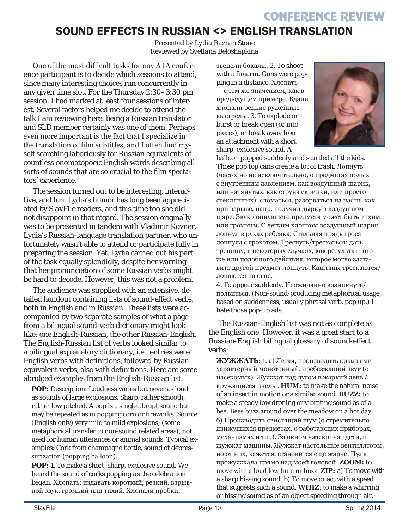### SOUND EFFECTS IN RUSSIAN <> ENGLISH TRANSLATION

*Presented by Lydia Razran Stone Reviewed by Svetlana Beloshapkina*

One of the most difficult tasks for any ATA conference participant is to decide which sessions to attend, since many interesting choices run concurrently in any given time slot. For the Thursday 2:30–3:30 pm session, I had marked at least four sessions of interest. Several factors helped me decide to attend the talk I am reviewing here: being a Russian translator and SLD member certainly was one of them. Perhaps even more important is the fact that I specialize in the translation of film subtitles, and I often find myself searching laboriously for Russian equivalents of countless onomatopoeic English words describing all sorts of sounds that are so crucial to the film spectators' experience.

The session turned out to be interesting, interactive, and fun. Lydia's humor has long been appreciated by *SlavFile* readers, and this time too she did not disappoint in that regard. The session originally was to be presented in tandem with Vladimir Kovner, Lydia's Russian-language translation partner, who unfortunately wasn't able to attend or participate fully in preparing the session. Yet, Lydia carried out his part of the task equally splendidly, despite her warning that her pronunciation of some Russian verbs might be hard to decode. However, this was not a problem.

The audience was supplied with an extensive, detailed handout containing lists of sound-effect verbs, both in English and in Russian. These lists were accompanied by two separate samples of what a page from a bilingual sound-verb dictionary might look like: one English-Russian, the other Russian-English. The English-Russian list of verbs looked similar to a bilingual explanatory dictionary, i.e., entries were English verbs with definitions, followed by Russian equivalent verbs, also with definitions. Here are some abridged examples from the English-Russian list.

POP: Description: Loudness varies but never as loud as sounds of large explosions. Sharp, rather smooth, rather low pitched. A pop is a single abrupt sound but may be repeated as in popping corn or fireworks. Source (English only) very mild to mild explosions; (some metaphorical transfer to non-sound related areas), not used for human utterances or animal sounds. Typical examples: Cork from champagne bottle, sound of depressurization (popping balloon).

**POP:** 1. To make a short, sharp, explosive sound. *We heard the sound of corks popping as the celebration began.* Хлопать: издавать короткий, резкий, взрывной звук, громкий или тихий. Хлопали пробки,

звенели бокалы. 2. To shoot with a firearm. Guns were popping in a distance. Хлопать — с тем же значением, как в предыдущем примере. Вдали хлопали редкие ружейные выстрелы. 3. To explode or burst or break open (or into pieces), or break away from an attachment with a short, sharp, explosive sound. *A* 



*balloon popped suddenly and startled all the kids. Those pop top cans create a lot of trash.* Лопнуть (часто, но не исключительно, о предметах полых с внутренним давлением, как воздушный шарик, или натянутых, как струна скрипки, или просто стеклянных): сломаться, разорваться на части, как при взрыве, напр. получив дырку в воздушном шаре. Звук лопнувшего предмета может быть тихим или громким. С легким хлопком воздушный шарик лопнул в руках ребенка. Стальная прядь троса лопнула с грохотом. Треснуть/трескаться: дать трещину, в некоторых случаях, как результат того же или подобного действия, которое могло заставить другой предмет лопнуть. Каштаны трескаются/ лопаются на огне.

4. To appear suddenly. Неожиданно возникнуть/ появиться. (Non-sound-producing metaphorical usage, based on suddenness, usually phrasal verb, pop up.) I hate those pop-up ads.

The Russian-English list was not as complete as the English one. However, it was a great start to a Russian-English bilingual glossary of sound-effect verbs:

**ЖУЖЖАТЬ:** 1. а) Летая, производить крыльями характерный монотонный, дребезжащий звук (о насекомых). Жужжат над лугом в жаркий день */*  кружащиеся пчелы*.* **HUM:** to make the natural noise of an insect in motion or a similar sound. **BUZZ:** to make a steady low droning or vibrating sound as of a bee. Bees buzz around over the meadow on a hot day. б) Производить свистящий шум (о стремительно движущихся предметах, о работающих приборах, механизмах и т.п.). За окном уже кричат дети, и жужжат машины. Жужжат настольные вентиляторы, но от них, кажется, становится еще жарче. Пуля прожужжала прямо над моей головой. **ZOOM:** to move with a loud low hum or buzz. **ZIP:** a) To move with a sharp hissing sound. b) To move or act with a speed that suggests such a sound. **WHIZ**: to make a whirring or hissing sound as of an object speeding through air.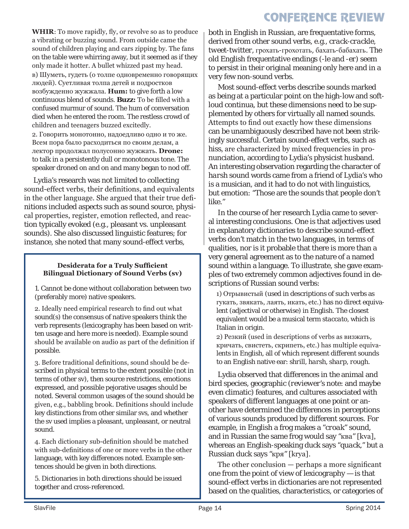**WHIR**: To move rapidly, fly, or revolve so as to produce a vibrating or buzzing sound. From outside came the sound of children playing and cars zipping by. The fans on the table were whirring away, but it seemed as if they only made it hotter. A bullet whizzed past my head.

в) Шуметь, гудеть (о толпе одновременно говорящих людей). Суетливая толпа детей и подростков возбужденно жужжала. **Hum:** to give forth a low continuous blend of sounds. **Buzz:** To be filled with a confused murmur of sound. The hum of conversation died when he entered the room. The restless crowd of children and teenagers buzzed excitedly.

2. Говорить монотонно, надоедливо одно и то же. Всем пора было расходиться по своим делам, а лектор продолжал полусонно жужжать. **Drone:** to talk in a persistently dull or monotonous tone. The speaker droned on and on and many began to nod off.

Lydia's research was not limited to collecting sound-effect verbs, their definitions, and equivalents in the other language. She argued that their true definitions included aspects such as sound source, physical properties, register, emotion reflected, and reaction typically evoked (e.g., pleasant vs. unpleasant sounds). She also discussed linguistic features; for instance, she noted that many sound-effect verbs,

#### **Desiderata for a Truly Sufficient Bilingual Dictionary of Sound Verbs (sv)**

1. Cannot be done without collaboration between two (preferably more) native speakers.

2. Ideally need empirical research to find out what sound(s) the consensus of native speakers think the verb represents (lexicography has been based on written usage and here more is needed). Example sound should be available on audio as part of the definition if possible.

3. Before traditional definitions, sound should be described in physical terms to the extent possible (not in terms of other sv), then source restrictions, emotions expressed, and possible pejorative usages should be noted. Several common usages of the sound should be given, e.g., babbling brook. Definitions should include key distinctions from other similar svs, and whether the sv used implies a pleasant, unpleasant, or neutral sound.

4. Each dictionary sub-definition should be matched with sub-definitions of one or more verbs in the other language, with key differences noted. Example sentences should be given in both directions.

5. Dictionaries in both directions should be issued together and cross-referenced.

both in English in Russian, are frequentative forms, derived from other sound verbs, e.g., *crack-crackle, tweet-twitter,* грохать*-*грохотать*,* бахать*-*бабахать. The old English frequentative endings (-*le* and -*er*) seem to persist in their original meaning only here and in a very few non-sound verbs.

Most sound-effect verbs describe sounds marked as being at a particular point on the high-low and softloud continua, but these dimensions need to be supplemented by others for virtually all named sounds. Attempts to find out exactly how these dimensions can be unambiguously described have not been strikingly successful. Certain sound-effect verbs, such as *hiss*, are characterized by mixed frequencies in pronunciation, according to Lydia's physicist husband. An interesting observation regarding the character of *harsh* sound words came from a friend of Lydia's who is a musician, and it had to do not with linguistics, but emotion: "Those are the sounds that people don't like."

In the course of her research Lydia came to several interesting conclusions. One is that adjectives used in explanatory dictionaries to describe sound-effect verbs don't match in the two languages, in terms of qualities, nor is it probable that there is more than a very general agreement as to the nature of a named sound within a language. To illustrate, she gave examples of two extremely common adjectives found in descriptions of Russian sound verbs:

1) Отрывистый (used in descriptions of such verbs as гукать*,* звякать*,* лаять*,* икать, etc.) has no direct equivalent (adjectival or otherwise) in English. The closest equivalent would be a musical term *staccato*, which is Italian in origin.

2) Резкий (used in descriptions of verbs as визжать*,*  кричать*,* свистеть*,* скрипеть, etc.) has multiple equivalents in English, all of which represent different sounds to an English native ear: *shrill, harsh, sharp, rough.* 

Lydia observed that differences in the animal and bird species, geographic (*reviewer's note*: and maybe even climatic) features, and cultures associated with speakers of different languages at one point or another have determined the differences in perceptions of various sounds produced by different sources. For example, in English a frog makes a "*croak*" sound, and in Russian the same frog would say *"*ква*"* [kva], whereas an English-speaking duck says *"quack,"* but a Russian duck says *"*кря*"* [krya]*.*

The other conclusion — perhaps a more significant one from the point of view of lexicography — is that sound-effect verbs in dictionaries are not represented based on the qualities, characteristics, or categories of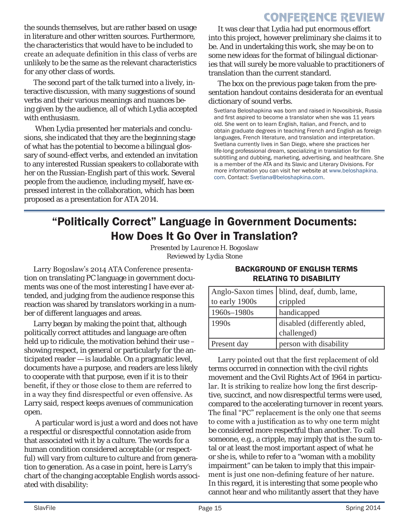the sounds themselves, but are rather based on usage in literature and other written sources. Furthermore, the characteristics that would have to be included to create an adequate definition in this class of verbs are unlikely to be the same as the relevant characteristics for any other class of words.

The second part of the talk turned into a lively, interactive discussion, with many suggestions of sound verbs and their various meanings and nuances being given by the audience, all of which Lydia accepted with enthusiasm.

When Lydia presented her materials and conclusions, she indicated that they are the beginning stage of what has the potential to become a bilingual glossary of sound-effect verbs, and extended an invitation to any interested Russian speakers to collaborate with her on the Russian-English part of this work. Several people from the audience, including myself, have expressed interest in the collaboration, which has been proposed as a presentation for ATA 2014.

It was clear that Lydia had put enormous effort into this project, however preliminary she claims it to be. And in undertaking this work, she may be on to some new ideas for the format of bilingual dictionaries that will surely be more valuable to practitioners of translation than the current standard.

The box on the previous page taken from the presentation handout contains desiderata for an eventual dictionary of sound verbs.

Svetlana Beloshapkina was born and raised in Novosibirsk, Russia and first aspired to become a translator when she was 11 years old. She went on to learn English, Italian, and French, and to obtain graduate degrees in teaching French and English as foreign languages, French literature, and translation and interpretation. Svetlana currently lives in San Diego, where she practices her life-long professional dream, specializing in translation for film subtitling and dubbing, marketing, advertising, and healthcare. She is a member of the ATA and its Slavic and Literary Divisions. For more information you can visit her website at [www.beloshapkina.](http://www.beloshapkina.com) [com.](http://www.beloshapkina.com) Contact: [Svetlana@beloshapkina.com](mailto:Svetlana@beloshapkina.com).

### "Politically Correct" Language in Government Documents: How Does It Go Over in Translation?

*Presented by Laurence H. Bogoslaw Reviewed by Lydia Stone*

Larry Bogoslaw's 2014 ATA Conference presentation on translating PC language in government documents was one of the most interesting I have ever attended, and judging from the audience response this reaction was shared by translators working in a number of different languages and areas.

Larry began by making the point that, although politically correct attitudes and language are often held up to ridicule, the motivation behind their use – showing respect, in general or particularly for the anticipated reader — is laudable. On a pragmatic level, documents have a purpose, and readers are less likely to cooperate with that purpose, even if it is to their benefit, if they or those close to them are referred to in a way they find disrespectful or even offensive. As Larry said, respect keeps avenues of communication open.

 A particular word is just a word and does not have a respectful or disrespectful connotation aside from that associated with it by a culture. The words for a human condition considered acceptable (or respectful) will vary from culture to culture and from generation to generation. As a case in point, here is Larry's chart of the changing acceptable English words associated with disability:

#### BACKGROUND OF ENGLISH TERMS RELATING TO DISABILITY

| to early 1900s     | Anglo-Saxon times   blind, deaf, dumb, lame,<br>crippled |
|--------------------|----------------------------------------------------------|
| $1960s - 1980s$    | handicapped                                              |
| 1990s              | disabled (differently abled,                             |
|                    | challenged)                                              |
| <b>Present day</b> | person with disability                                   |

Larry pointed out that the first replacement of old terms occurred in connection with the civil rights movement and the Civil Rights Act of 1964 in particular. It is striking to realize how long the first descriptive, succinct, and now disrespectful terms were used, compared to the accelerating turnover in recent years. The final "PC" replacement is the only one that seems to come with a justification as to why one term might be considered more respectful than another. To call someone, e.g., a cripple, may imply that is the sum total or at least the most important aspect of what he or she is, while to refer to a "woman with a mobility impairment" can be taken to imply that this impairment is just one non-defining feature of her nature. In this regard, it is interesting that some people who cannot hear and who militantly assert that they have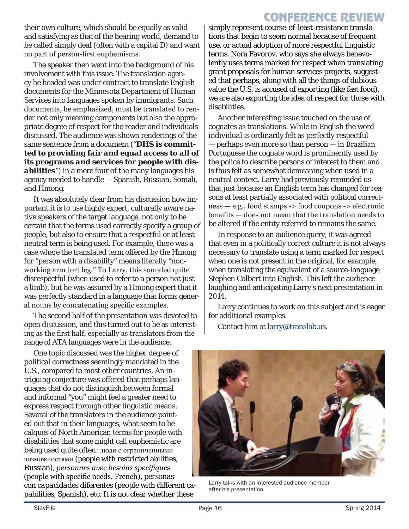<span id="page-15-0"></span>their own culture, which should be equally as valid and satisfying as that of the hearing world, demand to be called simply deaf (often with a capital D) and want no part of person-first euphemisms.

The speaker then went into the background of his involvement with this issue. The translation agency he headed was under contract to translate English documents for the Minnesota Department of Human Services into languages spoken by immigrants. Such documents, he emphasized, must be translated to render not only meaning components but also the appropriate degree of respect for the reader and individuals discussed. The audience was shown renderings of the same sentence from a document ("*DHS is committed to providing fair and equal access to all of its programs and services for people with disabilities")* in a mere four of the many languages his agency needed to handle — Spanish, Russian, Somali, and Hmong.

It was absolutely clear from his discussion how important it is to use highly expert, culturally aware native speakers of the target language, not only to be certain that the terms used correctly specify a group of people, but also to ensure that a respectful or at least neutral term is being used. For example, there was a case where the translated term offered by the Hmong for "person with a disability" means literally "nonworking arm [or] leg." To Larry, this sounded quite disrespectful (when used to refer to a person not just a limb), but he was assured by a Hmong expert that it was perfectly standard in a language that forms general nouns by concatenating specific examples.

The second half of the presentation was devoted to open discussion, and this turned out to be as interesting as the first half, especially as translators from the range of ATA languages were in the audience.

One topic discussed was the higher degree of political correctness seemingly mandated in the U.S., compared to most other countries. An intriguing conjecture was offered that perhaps languages that do not distinguish between formal and informal "you" might feel a greater need to express respect through other linguistic means. Several of the translators in the audience pointed out that in their languages, what seem to be calques of North American terms for people with disabilities that some might call euphemistic are being used quite often: [люди с ограниченными](http://www.multitran.ru/c/m.exe?t=4945242_2_1&s1=disabled)  [возможностями](http://www.multitran.ru/c/m.exe?t=4945242_2_1&s1=disabled) (people with restricted abilities, Russian), *personnes avec besoins specifiques* (people with specific needs, French), *personas con capacidades diferentes* (people with different capabilities, Spanish), etc. It is not clear whether these

simply represent course-of-least-resistance translations that begin to seem normal because of frequent use, or actual adoption of more respectful linguistic terms. Nora Favorov, who says she always benevolently uses terms marked for respect when translating grant proposals for human services projects, suggested that perhaps, along with all the things of dubious value the U.S. is accused of exporting (like fast food), we are also exporting the idea of respect for those with disabilities.

Another interesting issue touched on the use of cognates as translations. While in English the word *individual* is ordinarily felt as perfectly respectful — perhaps even more so than *person* — in Brazilian Portuguese the cognate word is prominently used by the police to describe persons of interest to them and is thus felt as somewhat demeaning when used in a neutral context. Larry had previously reminded us that just because an English term has changed for reasons at least partially associated with political correctness — e.g., food stamps -> food coupons -> electronic benefits — does not mean that the translation needs to be altered if the entity referred to remains the same.

In response to an audience query, it was agreed that even in a politically correct culture it is not always necessary to translate using a term marked for respect when one is not present in the original, for example, when translating the equivalent of a source-language Stephen Colbert into English. This left the audience laughing and anticipating Larry's next presentation in 2014.

Larry continues to work on this subject and is eager for additional examples.

Contact him at larry@translab.us.



Larry talks with an interested audience member after his presentation.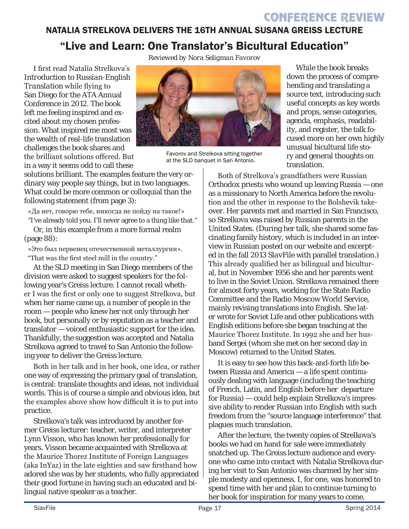### NATALIA STRELKOVA DELIVERS THE 16TH ANNUAL SUSANA GREISS LECTURE "Live and Learn: One Translator's Bicultural Education"

I first read Natalia Strelkova's *Introduction to Russian-English Translation* while flying to San Diego for the ATA Annual Conference in 2012. The book left me feeling inspired and excited about my chosen profession. What inspired me most was the wealth of real-life translation challenges the book shares and the brilliant solutions offered. But in a way it seems odd to call these

solutions brilliant. The examples feature the very ordinary way people say things, but in two languages. What could be more common or colloquial than the following statement (from page 3):

«Да нет, говорю тебе, никогда не пойду на такое!»

"I've already told you. I'll never agree to a thing like that." Or, in this example from a more formal realm (page 88):

«Это был первенец отечественной металлургии». "That was the first steel mill in the country."

At the SLD meeting in San Diego members of the division were asked to suggest speakers for the following year's Greiss lecture. I cannot recall whether I was the first or only one to suggest Strelkova, but when her name came up, a number of people in the room — people who knew her not only through her book, but personally or by reputation as a teacher and translator — voiced enthusiastic support for the idea. Thankfully, the suggestion was accepted and Natalia Strelkova agreed to travel to San Antonio the following year to deliver the Greiss lecture.

Both in her talk and in her book, one idea, or rather one way of expressing the primary goal of translation, is central: translate thoughts and ideas, not individual words. This is of course a simple and obvious idea, but the examples above show how difficult it is to put into practice.

Strelkova's talk was introduced by another former Greiss lecturer: teacher, writer, and interpreter Lynn Visson, who has known her professionally for years. Visson became acquainted with Strelkova at the Maurice Thorez Institute of Foreign Languages (aka InYaz) in the late eighties and saw firsthand how adored she was by her students, who fully appreciated their good fortune in having such an educated and bilingual native speaker as a teacher.



Favorov and Strelkova sitting together at the SLD banquet in San Antonio.

While the book breaks down the process of comprehending and translating a source text, introducing such useful concepts as key words and props, sense categories, agenda, emphasis, readability, and register, the talk focused more on her own highly unusual bicultural life story and general thoughts on translation.

Both of Strelkova's grandfathers were Russian Orthodox priests who wound up leaving Russia — one as a missionary to North America before the revolution and the other in response to the Bolshevik takeover. Her parents met and married in San Francisco, so Strelkova was raised by Russian parents in the United States. (During her talk, she shared some fascinating family history, which is included in an interview in Russian [posted on our website](http://atasld.org/sites/atasld.org/files/slavfile/Mosty%20Strelkova%20Interview.pdf) and excerpted in the [fall 2013](http://atasld.org/sites/atasld.org/files/slavfile/fall-2013.pdf) *SlavFile* with parallel translation.) This already qualified her as bilingual and bicultural, but in November 1956 she and her parents went to live in the Soviet Union. Strelkova remained there for almost forty years, working for the State Radio Committee and the Radio Moscow World Service, mainly revising translations into English. She later wrote for *Soviet Life* and other publications with English editions before she began teaching at the Maurice Thorez Institute. In 1992 she and her husband Sergei (whom she met on her second day in Moscow) returned to the United States.

It is easy to see how this back-and-forth life between Russia and America — a life spent continuously dealing with language (including the teaching of French, Latin, and English before her departure for Russia) — could help explain Strelkova's impressive ability to render Russian into English with such freedom from the "source language interference" that plagues much translation.

After the lecture, the twenty copies of Strelkova's books we had on hand for sale were immediately snatched up. The Greiss lecture audience and everyone who came into contact with Natalia Strelkova during her visit to San Antonio was charmed by her simple modesty and openness. I, for one, was honored to spend time with her and plan to continue turning to her book for inspiration for many years to come.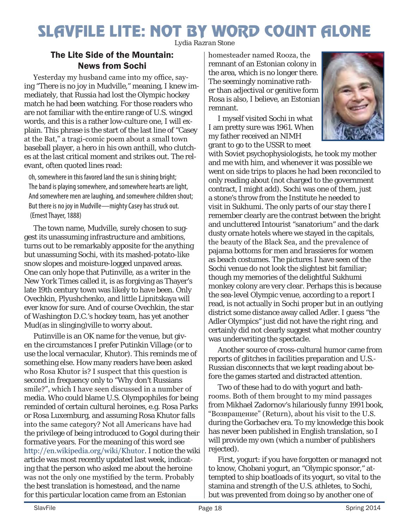# <span id="page-17-0"></span>SLAVFILE LITE: NOT BY WORD COUNT ALONE

*Lydia Razran Stone*

#### The Lite Side of the Mountain: News from Sochi

Yesterday my husband came into my office, saying "There is no joy in Mudville," meaning, I knew immediately, that Russia had lost the Olympic hockey match he had been watching. For those readers who are not familiar with the entire range of U.S. winged words, and this is a rather low-culture one, I will explain. This phrase is the start of the last line of "Casey at the Bat," a tragi-comic poem about a small town baseball player, a hero in his own anthill, who clutches at the last critical moment and strikes out. The relevant, often quoted lines read:

Oh, somewhere in this favored land the sun is shining bright; The band is playing somewhere, and somewhere hearts are light, And somewhere men are laughing, and somewhere children shout; But there is no joy in Mudville—mighty Casey has struck out. (Ernest Thayer, 1888)

The town name, Mudville, surely chosen to suggest its unassuming infrastructure and ambitions, turns out to be remarkably apposite for the anything but unassuming Sochi, with its mashed-potato-like snow slopes and moisture-logged unpaved areas. One can only hope that Putinville, as a writer in the *New York Times* called it, is as forgiving as Thayer's late 19th century town was likely to have been. Only Ovechkin, Plyushchenko, and little Lipnitskaya will ever know for sure. And of course Ovechkin, the star of Washington D.C.'s hockey team, has yet another Mud(as in slinging)ville to worry about.

Putinville is an OK name for the venue, but given the circumstances I prefer Putinkin Village (or to use the local vernacular, Khutor). This reminds me of something else. How many readers have been asked who Rosa Khutor is? I suspect that this question is second in frequency only to "Why don't Russians smile?", which I have seen discussed in a number of media. Who could blame U.S. Olympophiles for being reminded of certain cultural heroines, e.g. Rosa Parks or Rosa Luxemburg, and assuming Rosa Khutor falls into the same category? Not all Americans have had the privilege of being introduced to Gogol during their formative years. For the meaning of this word see http://en.wikipedia.org/wiki/Khutor. I notice the wiki article was most recently updated last week, indicating that the person who asked me about the heroine was not the only one mystified by the term. Probably the best translation is *homestead*, and the name for this particular location came from an Estonian

homesteader named Rooza, the remnant of an Estonian colony in the area, which is no longer there. The seemingly nominative rather than adjectival or genitive form Rosa is also, I believe, an Estonian remnant.

I myself visited Sochi in what I am pretty sure was 1961. When my father received an NIMH grant to go to the USSR to meet



with Soviet psychophysiologists, he took my mother and me with him, and whenever it was possible we went on side trips to places he had been reconciled to only reading about (not charged to the government contract, I might add). Sochi was one of them, just a stone's throw from the Institute he needed to visit in Sukhumi. The only parts of our stay there I remember clearly are the contrast between the bright and uncluttered Intourist "sanatorium" and the dark dusty ornate hotels where we stayed in the capitals, the beauty of the Black Sea, and the prevalence of pajama bottoms for men and brassieres for women as beach costumes. The pictures I have seen of the Sochi venue do not look the slightest bit familiar; though my memories of the delightful Sukhumi monkey colony are very clear. Perhaps this is because the sea-level Olympic venue, according to a report I read, is not actually in Sochi proper but in an outlying district some distance away called Adler. I guess "the Adler Olympics" just did not have the right ring, and certainly did not clearly suggest what mother country was underwriting the spectacle.

Another source of cross-cultural humor came from reports of glitches in facilities preparation and U.S.- Russian disconnects that we kept reading about before the games started and distracted attention.

Two of these had to do with yogurt and bathrooms. Both of them brought to my mind passages from Mikhael Zadornov's hilariously funny 1991 book, "Возвращение" (Return), about his visit to the U.S. during the Gorbachev era. To my knowledge this book has never been published in English translation, so I will provide my own (which a number of publishers rejected).

First, yogurt: if you have forgotten or managed not to know, Chobani yogurt, an "Olympic sponsor," attempted to ship boatloads of its yogurt, so vital to the stamina and strength of the U.S. athletes, to Sochi, but was prevented from doing so by another one of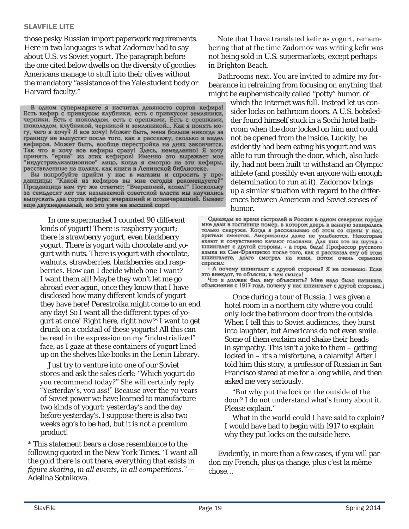#### SLAVFILE LITE

those pesky Russian import paperwork requirements. Here in two languages is what Zadornov had to say about U.S. vs Soviet yogurt. The paragraph before the one cited below dwells on the diversity of goodies Americans manage to stuff into their olives without the mandatory "assistance of the Yale student body or Harvard faculty."

В одном супермаркете я насчитал девяносто сортов кефира! Есть кефир с привкусом клубники, есть с привкусом земляники, черники. Есть с шоколадом, есть с орешками. Есть с орешками, шоколадом, клубникой, черникой и земляникой... Как я понять могу, чего я хочу? Я все хочу! Может быть, меня больше никогда за границу не выпустят после того, как я расскажу, сколько я видел кефиров. Может быть, вообще перестройка на днях закончится.<br>Так что я хочу все кефиры сразу! Здесь, немедленно! Я хочу<br>принять "ерша" из этих кефиров! Именно это выражает мое "индустриализационное" лицо, когда я смотрю на эти кефиры, расставленные на полках, как книги в Ленинской библиотеке.

Вы попробуйте прийти у нас в магазин и спросить у про-давщицы: "Какой из кефиров вы мне сегодня рекомендуете?" Продавщица вам тут же ответит: "Вчерашний, козел!" Поскольку за семьдесят лет так называемой советской власти мы научились выпускать два сорта кефира: вчерашний и позавчерашний. Бывает еще двухнедельный, но это уже не высший сорт!

In one supermarket I counted 90 different kinds of yogurt! There is raspberry yogurt; there is strawberry yogurt, even blackberry yogurt. There is yogurt with chocolate and yogurt with nuts. There is yogurt with chocolate, walnuts, strawberries, blackberries and raspberries. How can I decide which one I want? I want them all! Maybe they won't let me go abroad ever again, once they know that I have disclosed how many different kinds of yogurt they have here! Perestroika might come to an end any day! So I want all the different types of yogurt at once! Right here, right now!\* I want to get drunk on a cocktail of these yogurts! All this can be read in the expression on my "industrialized" face, as I gaze at these containers of yogurt lined up on the shelves like books in the Lenin Library.

Just try to venture into one of our Soviet stores and ask the sales clerk: "Which yogurt do you recommend today?" She will certainly reply "Yesterday's, you ass!" Because over the 70 years of Soviet power we have learned to manufacture two kinds of yogurt: yesterday's and the day before yesterday's. I suppose there is also two weeks ago's to be had, but it is not a premium product!

\* This statement bears a close resemblance to the following quoted in the *New York Times*. *"I want all the gold there is out there, everything that exists in figure skating, in all events, in all competitions."* — Adelina Sotnikova.

Note that I have translated kefir as yogurt, remembering that at the time Zadornov was writing kefir was not being sold in U.S. supermarkets, except perhaps in Brighton Beach.

Bathrooms next. You are invited to admire my forbearance in refraining from focusing on anything that might be euphemistically called "potty" humor, of

which the Internet was full. Instead let us consider locks on bathroom doors. A U.S. bobsledder found himself stuck in a Sochi hotel bathroom when the door locked on him and could not be opened from the inside. Luckily, he evidently had been eating his yogurt and was able to run through the door, which, also luckily, had not been built to withstand an Olympic athlete (and possibly even anyone with enough determination to run at it). Zadornov brings up a similar situation with regard to the differences between American and Soviet senses of humor.

Однажды во время гастролей в России в одном северном городе мне дали в гостинице номер, в котором дверь в ванную запиралась только снаружи. Когда я рассказываю об этом со сцены у нас, зрители смеются. Американцы даже не улыбаются. Некоторые ахают и сочувственно качают головами. Для них это не шутка шпингалет с другой стороны, - а горе, беда! Профессор русского языка из Сан-Франциско после того, как я рассказал ему об этом шпингалете, долго смотрел на меня, потом очень серьезно спросил:

- А почему шпингалет с другой стороны? Я не понимаю. Если это анекдот, то объясни, в чем смысл!

Что я должен был ему объяснить? Мне надо было начинать объяснения с 1917 года, почему у нас шпингалет с другой стороны.

> Once during a tour of Russia, I was given a hotel room in a northern city where you could only lock the bathroom door from the outside. When I tell this to Soviet audiences, they burst into laughter, but Americans do not even smile. Some of them exclaim and shake their heads in sympathy. This isn't a joke to them – getting locked in – it's a misfortune, a calamity! After I told him this story, a professor of Russian in San Francisco stared at me for a long while, and then asked me very seriously.

> "But why put the lock on the outside of the door? I do not understand what's funny about it. Please explain."

What in the world could I have said to explain? I would have had to begin with 1917 to explain why they put locks on the outside here.

Evidently, in more than a few cases, if you will pardon my French, plus ça change, plus c'est la même chose…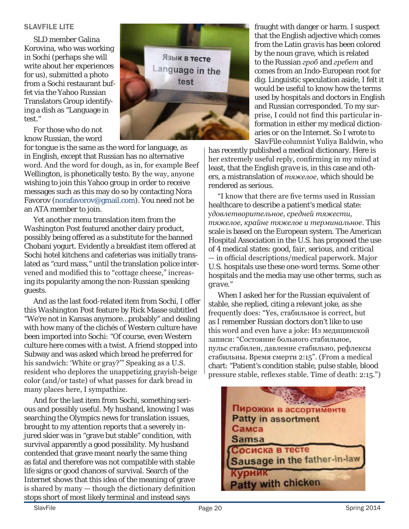#### SLAVFILE LITE

SLD member Galina Korovina, who was working in Sochi (perhaps she will write about her experiences for us), submitted a photo from a Sochi restaurant buffet via the Yahoo Russian Translators Group identifying a dish as "Language in test."

For those who do not know Russian, the word

for tongue is the same as the word for language, as in English, except that Russian has no alternative word. And the word for dough, as in, for example Beef Wellington, is phonetically *testo*. By the way, anyone wishing to join this Yahoo group in order to receive messages such as this may do so by contacting Nora Favorov (norafavorov@gmail.com). You need not be an ATA member to join.

Yet another menu translation item from the *Washington Post* featured another dairy product, possibly being offered as a substitute for the banned Chobani yogurt. Evidently a breakfast item offered at Sochi hotel kitchens and cafeterias was initially translated as "curd mass," until the translation police intervened and modified this to "cottage cheese," increasing its popularity among the non-Russian speaking guests.

And as the last food-related item from Sochi, I offer this *Washington Post* feature by Rick Masse subtitled "We're not in Kansas anymore…probably" and dealing with how many of the clichés of Western culture have been imported into Sochi: "Of course, even Western culture here comes with a twist. A friend stopped into Subway and was asked which bread he preferred for his sandwich: 'White or gray?'" Speaking as a U.S. resident who deplores the unappetizing grayish-beige color (and/or taste) of what passes for dark bread in many places here, I sympathize.

And for the last item from Sochi, something serious and possibly useful. My husband, knowing I was searching the Olympics news for translation issues, brought to my attention reports that a severely injured skier was in "grave but stable" condition, with survival apparently a good possibility. My husband contended that grave meant nearly the same thing as fatal and therefore was not compatible with stable life signs or good chances of survival. Search of the Internet shows that this idea of the meaning of grave is shared by many — though the dictionary definition stops short of most likely terminal and instead says



fraught with danger or harm. I suspect that the English adjective which comes from the Latin *gravis* has been colored by the noun *grave*, which is related to the Russian *гроб* and *гребет* and comes from an Indo-European root for dig. Linguistic speculation aside, I felt it would be useful to know how the terms used by hospitals and doctors in English and Russian corresponded. To my surprise, I could not find this particular information in either my medical dictionaries or on the Internet. So I wrote to *SlavFile* columnist Yuliya Baldwin, who

has recently published a medical dictionary. Here is her extremely useful reply, confirming in my mind at least, that the English *grave* is, in this case and others, a mistranslation of *тяжелое*, which should be rendered as serious.

"I know that there are five terms used in Russian healthcare to describe a patient's medical state: у*довлетворительное, средней тяжести, тяжелое, крайне тяжелое и терминальное*. This scale is based on the European system. The American Hospital Association in the U.S. has proposed the use of 4 medical states: *good, fair, serious, and critical* — in official descriptions/medical paperwork. Major U.S. hospitals use these one-word terms. Some other hospitals and the media may use other terms, such as *grave*."

When I asked her for the Russian equivalent of stable, she replied, citing a relevant joke, as she frequently does: "Yes, стабильное is correct, but as I remember Russian doctors don't like to use this word and even have a joke: Из медицинской записи: "Состояние больного стабильное, пульс стабилен, давление стабильно, рефлексы стабильны. Время смерти 2:15". (From a medical chart: "Patient's condition stable, pulse stable, blood pressure stable, reflexes stable. Time of death: 2:15.")

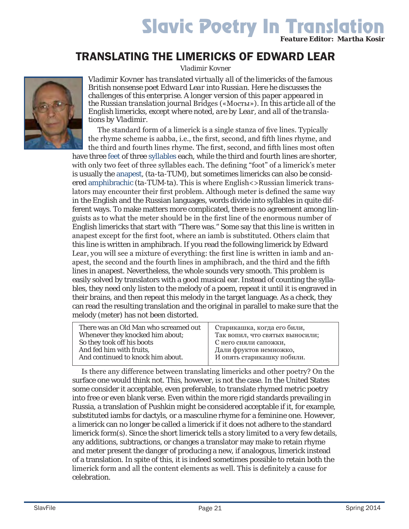# Slavic Poetry In Translation *Feature Editor: Martha Kosir*

### TRANSLATING THE LIMERICKS OF EDWARD LEAR

*Vladimir Kovner*



*Vladimir Kovner has translated virtually all of the limericks of the famous British nonsense poet Edward Lear into Russian. Here he discusses the challenges of this enterprise. A longer version of this paper appeared in the Russian translation journal* Bridges («Мосты»)*. In this article all of the English limericks, except where noted, are by Lear, and all of the translations by Vladimir.*

The standard form of a limerick is a single stanza of five lines. Typically the rhyme scheme is aabba, i.e., the first, second, and fifth lines rhyme, and the third and fourth lines rhyme. The first, second, and fifth lines most often

have three [feet](http://en.wikipedia.org/wiki/Foot_(prosody)) of three [syllables](http://en.wikipedia.org/wiki/Syllables) each, while the third and fourth lines are shorter, with only two feet of three syllables each. The defining "foot" of a limerick's meter is usually the [anapest,](http://en.wikipedia.org/wiki/Anapaest) (*ta-ta-TUM*), but sometimes limericks can also be considered [amphibrachic](http://en.wikipedia.org/wiki/Amphibrach) (*ta-TUM-ta*). This is where English <>
Russian limerick translators may encounter their first problem. Although meter is defined the same way in the English and the Russian languages, words divide into syllables in quite different ways. To make matters more complicated, there is no agreement among linguists as to what the meter should be in the first line of the enormous number of English limericks that start with "There was." Some say that this line is written in anapest except for the first foot, where an iamb is substituted. Others claim that this line is written in amphibrach. If you read the following limerick by Edward Lear, you will see a mixture of everything: the first line is written in iamb and anapest, the second and the fourth lines in amphibrach, and the third and the fifth lines in anapest. Nevertheless, the whole sounds very smooth. This problem is easily solved by translators with a good musical ear. Instead of counting the syllables, they need only listen to the melody of a poem, repeat it until it is engraved in their brains, and then repeat this melody in the target language. As a check, they can read the resulting translation and the original in parallel to make sure that the melody (meter) has not been distorted.

There was an Old Man who screamed out Whenever they knocked him about; So they took off his boots And fed him with fruits, And continued to knock him about.

Старикашка, когда его били, Так вопил, что святых выносили; С него сняли сапожки, Дали фруктов немножко, И опять старикашку побили.

Is there any difference between translating limericks and other poetry? On the surface one would think not. This, however, is not the case. In the United States some consider it acceptable, even preferable, to translate rhymed metric poetry into free or even blank verse. Even within the more rigid standards prevailing in Russia, a translation of Pushkin might be considered acceptable if it, for example, substituted iambs for dactyls, or a masculine rhyme for a feminine one. However, a limerick can no longer be called a limerick if it does not adhere to the standard limerick form(s). Since the short limerick tells a story limited to a very few details, any additions, subtractions, or changes a translator may make to retain rhyme and meter present the danger of producing a new, if analogous, limerick instead of a translation. In spite of this, it is indeed sometimes possible to retain both the limerick form and all the content elements as well. This is definitely a cause for celebration.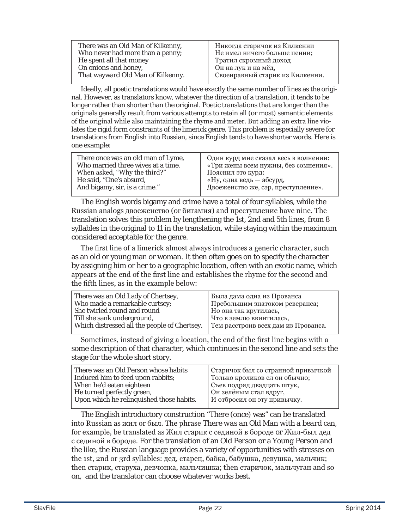| There was an Old Man of Kilkenny, | Никогда старичок из Килкенни    |
|-----------------------------------|---------------------------------|
| Who never had more than a penny;  | Не имел ничего больше пенни;    |
| He spent all that money           | Тратил скромный доход           |
| On onions and honey,              | Он на лук и на мёд,             |
| That wayward Old Man of Kilkenny. | Своенравный старик из Килкенни. |

Ideally, all poetic translations would have exactly the same number of lines as the original. However, as translators know, whatever the direction of a translation, it tends to be longer rather than shorter than the original. Poetic translations that are longer than the originals generally result from various attempts to retain all (or most) semantic elements of the original while also maintaining the rhyme and meter. But adding an extra line violates the rigid form constraints of the limerick genre. This problem is especially severe for translations from English into Russian, since English tends to have shorter words. Here is one example:

The English words bigamy and crime have a total of four syllables, while the Russian analogs двоеженство (or бигамия) and преступление have nine. The translation solves this problem by lengthening the 1st, 2nd and 5th lines, from 8 syllables in the original to 11 in the translation, while staying within the maximum considered acceptable for the genre.

The first line of a limerick almost always introduces a generic character, such as an old or young man or woman. It then often goes on to specify the character by assigning him or her to a geographic location, often with an exotic name, which appears at the end of the first line and establishes the rhyme for the second and the fifth lines, as in the example below:

| There was an Old Lady of Chertsey,           | Была дама одна из Прованса          |
|----------------------------------------------|-------------------------------------|
| Who made a remarkable curtsey;               | Пребольшим знатоком реверанса;      |
| She twirled round and round                  | Но она так крутилась,               |
| Till she sank underground,                   | Что в землю ввинтилась,             |
| Which distressed all the people of Chertsey. | Тем расстроив всех дам из Прованса. |

Sometimes, instead of giving a location, the end of the first line begins with a some description of that character, which continues in the second line and sets the stage for the whole short story.

| There was an Old Person whose habits     | Старичок был со странной привычкой |
|------------------------------------------|------------------------------------|
| Induced him to feed upon rabbits;        | Только кроликов ел он обычно;      |
| When he'd eaten eighteen                 | Съев подряд двадцать штук,         |
| He turned perfectly green,               | Он зелёным стал вдруг,             |
| Upon which he relinquished those habits. | И отбросил он эту привычку.        |
|                                          |                                    |

The English introductory construction "There (once) was" can be translated into Russian as жил or был. The phrase *There was an Old Man with a beard* can, for example, be translated as Жил старик с сединой в бороде *or* Жил-был дед с сединой в бороде. For the translation of an *Old Person* or a *Young Person* and the like, the Russian language provides a variety of opportunities with stresses on the 1st, 2nd or 3rd syllables: дед, старец, бабка, бабушка, девушка, мальчик; then старик, старуха, девчонка, мальчишка; then старичок, мальчуган and so on, and the translator can choose whatever works best.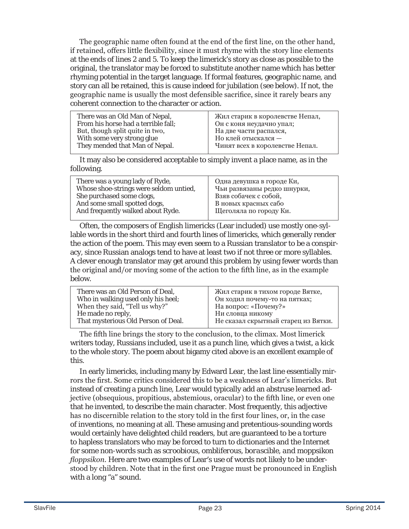The geographic name often found at the end of the first line, on the other hand, if retained, offers little flexibility, since it must rhyme with the story line elements at the ends of lines 2 and 5. To keep the limerick's story as close as possible to the original, the translator may be forced to substitute another name which has better rhyming potential in the target language. If formal features, geographic name, and story can all be retained, this is cause indeed for jubilation (see below). If not, the geographic name is usually the most defensible sacrifice, since it rarely bears any coherent connection to the character or action.

| There was an Old Man of Nepal,<br>From his horse had a terrible fall;<br>But, though split quite in two, | Жил старик в королевстве Непал,<br>Он с коня неудачно упал;<br>На две части распался,<br>Но клей отыскался - |
|----------------------------------------------------------------------------------------------------------|--------------------------------------------------------------------------------------------------------------|
| With some very strong glue                                                                               |                                                                                                              |
| They mended that Man of Nepal.                                                                           | Чинят всех в королевстве Непал.                                                                              |

It may also be considered acceptable to simply invent a place name, as in the following.

| There was a young lady of Ryde,        | Одна девушка в городе Ки,   |
|----------------------------------------|-----------------------------|
| Whose shoe-strings were seldom untied, | Чьи развязаны редко шнурки, |
| She purchased some clogs,              | Взяв собачек с собой,       |
| And some small spotted dogs,           | В новых красных сабо        |
| And frequently walked about Ryde.      | Щеголяла по городу Ки.      |
|                                        |                             |

Often, the composers of English limericks (Lear included) use mostly one-syllable words in the short third and fourth lines of limericks, which generally render the action of the poem. This may even seem to a Russian translator to be a conspiracy, since Russian analogs tend to have at least two if not three or more syllables. A clever enough translator may get around this problem by using fewer words than the original and/or moving some of the action to the fifth line, as in the example below.

| There was an Old Person of Deal,    | Жил старик в тихом городе Вятке,    |
|-------------------------------------|-------------------------------------|
| Who in walking used only his heel;  | Он ходил почему-то на пятках;       |
| When they said, "Tell us why?"      | На вопрос: «Почему?»                |
| He made no reply,                   | Ни словца никому                    |
| That mysterious Old Person of Deal. | Не сказал скрытный старец из Вятки. |

The fifth line brings the story to the conclusion, to the climax. Most limerick writers today, Russians included, use it as a punch line, which gives a twist, a kick to the whole story. The poem about bigamy cited above is an excellent example of this.

In early limericks, including many by Edward Lear, the last line essentially mirrors the first. Some critics considered this to be a weakness of Lear's limericks. But instead of creating a punch line, Lear would typically add an abstruse learned adjective (obsequious, propitious, abstemious, oracular) to the fifth line, or even one that he invented, to describe the main character. Most frequently, this adjective has no discernible relation to the story told in the first four lines, or, in the case of inventions, no meaning at all. These amusing and pretentious-sounding words would certainly have delighted child readers, but are guaranteed to be a torture to hapless translators who may be forced to turn to dictionaries and the Internet for some non-words such as *scroobious, ombliferous, borascible, and moppsikon floppsikon.* Here are two examples of Lear's use of words not likely to be understood by children. Note that in the first one Prague must be pronounced in English with a long "a" sound.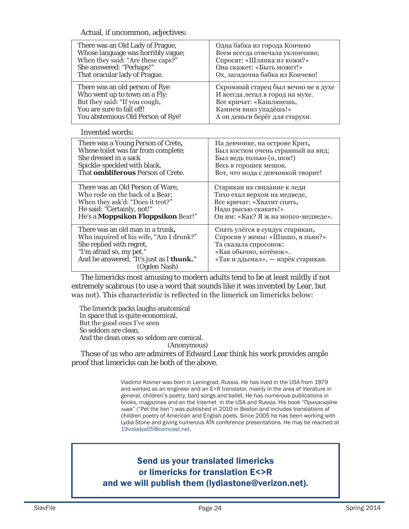Actual, if uncommon, adjectives:

| There was an Old Lady of Prague,                                                                                                                                                                | Одна бабка из города Кончево                                                                                                                               |
|-------------------------------------------------------------------------------------------------------------------------------------------------------------------------------------------------|------------------------------------------------------------------------------------------------------------------------------------------------------------|
| Whose language was horribly vague;                                                                                                                                                              | Всем всегда отвечала уклончиво;                                                                                                                            |
| When they said: "Are these caps?"                                                                                                                                                               | Спросят: «Шляпка из кожи?»                                                                                                                                 |
| She answered: "Perhaps!"                                                                                                                                                                        | Она скажет: «Быть может!»                                                                                                                                  |
| That oracular lady of Prague.                                                                                                                                                                   | Ох, загадочна бабка из Кончево!                                                                                                                            |
| There was an old person of Rye                                                                                                                                                                  | Скромный старец был вечно не в духе                                                                                                                        |
| Who went up to town on a Fly:                                                                                                                                                                   | И всегда летал в город на мухе.                                                                                                                            |
| But they said: "If you cough,                                                                                                                                                                   | Все кричат: «Кашлянешь,                                                                                                                                    |
| You are sure to fall off!                                                                                                                                                                       | Камнем вниз упадёшь!»                                                                                                                                      |
| You abstemious Old Person of Rye!                                                                                                                                                               | А он деньги берёг для старухи.                                                                                                                             |
| <b>Invented words:</b>                                                                                                                                                                          |                                                                                                                                                            |
| There was a Young Person of Crete,                                                                                                                                                              | На девчонке, на острове Крит,                                                                                                                              |
| Whose toilet was far from complete;                                                                                                                                                             | Был костюм очень странный на вид;                                                                                                                          |
| She dressed in a sack                                                                                                                                                                           | Был ведь только (о, шок!)                                                                                                                                  |
| Spickle-speckled with black,                                                                                                                                                                    | Весь в горошек мешок.                                                                                                                                      |
| That <b>ombliferous</b> Person of Crete.                                                                                                                                                        | Вот, что мода с девчонкой творит!                                                                                                                          |
| There was an Old Person of Ware,                                                                                                                                                                | Старикан на свидание к леди                                                                                                                                |
| Who rode on the back of a Bear;                                                                                                                                                                 | Тихо ехал верхом на медведе,                                                                                                                               |
| When they ask'd: "Does it trot?"                                                                                                                                                                | Все кричат: «Хватит спать,                                                                                                                                 |
| He said: "Certainly, not!"                                                                                                                                                                      | Надо рысью скакать!»                                                                                                                                       |
| He's a Moppsikon Floppsikon Bear!"                                                                                                                                                              | Он им: «Как? Я ж на мопсо-медведе».                                                                                                                        |
| There was an old man in a trunk,<br>Who inquired of his wife, "Am I drunk?"<br>She replied with regret,<br>"I'm afraid so, my pet."<br>And he answered, "It's just as I thunk."<br>(Ogden Nash) | Спать улёгся в сундук старикан,<br>Спросив у жены: «Шшшо, я пьян?»<br>Та сказала спросонок:<br>«Как обычно, котёнок».<br>«Так и ддымал», — изрёк старикан. |

The limericks most amusing to modern adults tend to be at least mildly if not extremely scabrous (to use a word that sounds like it was invented by Lear, but was not). This characteristic is reflected in the limerick on limericks below:

The limerick packs laughs anatomical In space that is quite economical, But the good ones I've seen So seldom are clean, And the clean ones so seldom are comical. (Anonymous)

Those of us who are admirers of Edward Lear think his work provides ample proof that limericks can be both of the above.

> Vladimir Kovner was born in Leningrad, Russia. He has lived in the USA from 1979 and worked as an engineer and an E>R translator, mainly in the area of literature in general, children's poetry, bard songs and ballet. He has numerous publications in books, magazines and on the Internet in the USA and Russia. His book "Приласкайте льва" ("Pet the lion") was published in 2010 in Boston and includes translations of children poetry of American and English poets. Since 2005 he has been working with Lydia Stone and giving numerous ATA conference presentations. He may be reached at 19volodya05@comcast.net.

### Send us your translated limericks or limericks for translation E<>R

and we will publish them (lydiastone@verizon.net).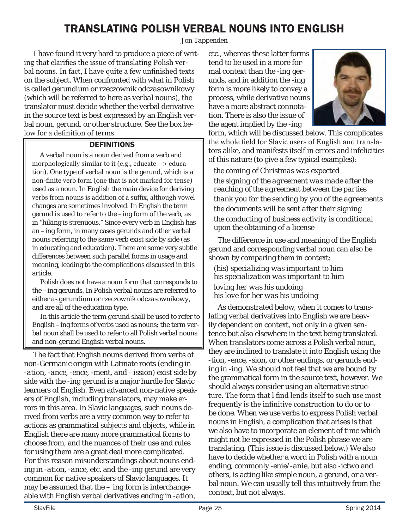### TRANSLATING POLISH VERBAL NOUNS INTO ENGLISH

*Jon Tappenden*

I have found it very hard to produce a piece of writing that clarifies the issue of translating Polish verbal nouns. In fact, I have quite a few unfinished texts on the subject. When confronted with what in Polish is called *gerundium* or *rzeczownik odczasownikowy* (which will be referred to here as *verbal nouns*), the translator must decide whether the verbal derivative in the source text is best expressed by an English verbal noun, gerund, or other structure. See the box below for a definition of terms.

#### **DEFINITIONS**

 A verbal noun is a noun derived from a verb and morphologically similar to it (e.g., educate --> education). One type of verbal noun is the gerund, which is a non-finite verb form (one that is not marked for tense) used as a noun. In English the main device for deriving verbs from nouns is addition of a suffix, although vowel changes are sometimes involved. In English the term gerund is used to refer to the –ing form of the verb, as in "hiking is strenuous." Since every verb in English has an –ing form, in many cases gerunds and other verbal nouns referring to the same verb exist side by side (as in educating and education). There are some very subtle differences between such parallel forms in usage and meaning, leading to the complications discussed in this article.

 Polish does not have a noun form that corresponds to the –ing gerunds. In Polish verbal nouns are referred to either as *gerundium* or *rzeczownik odczasownikowy*, and are all of the education type.

 In this article the term *gerund* shall be used to refer to English –ing forms of verbs used as nouns; the term *verbal noun* shall be used to refer to all Polish verbal nouns and non-gerund English verbal nouns.

The fact that English nouns derived from verbs of non-Germanic origin with Latinate roots (ending in -*ation*, -*ance,* -*ence, -ment, and –ission)* exist side by side with the -*ing* gerund is a major hurdle for Slavic learners of English. Even advanced non-native speakers of English, including translators, may make errors in this area. In Slavic languages, such nouns derived from verbs are a very common way to refer to actions as grammatical subjects and objects, while in English there are many more grammatical forms to choose from, and the nuances of their use and rules for using them are a great deal more complicated. For this reason misunderstandings about nouns ending in -*ation*, -*ance*, etc. and the -*ing* gerund are very common for native speakers of Slavic languages. It may be assumed that the *– ing* form is interchangeable with English verbal derivatives ending in *-ation*,

etc., whereas these latter forms tend to be used in a more formal context than the *-ing* gerunds, and in addition the *-ing* form is more likely to convey a process, while derivative nouns have a more abstract connotation. There is also the issue of the agent implied by the *-ing*



form, which will be discussed below*.* This complicates the whole field for Slavic users of English and translators alike, and manifests itself in errors and infelicities of this nature (to give a few typical examples):

*the coming of Christmas was expected the signing of the agreement was made after the reaching of the agreement between the parties thank you for the sending by you of the agreements the documents will be sent after their signing the conducting of business activity is conditional upon the obtaining of a license*

The difference in use and meaning of the English gerund and corresponding verbal noun can also be shown by comparing them in context:

*(his) specializing was important to him his specialization was important to him*

*loving her was his undoing his love for her was his undoing*

As demonstrated below, when it comes to translating verbal derivatives into English we are heavily dependent on context, not only in a given sentence but also elsewhere in the text being translated. When translators come across a Polish verbal noun, they are inclined to translate it into English using the -*tion,* -*ence,* -*sion*, or other endings, or gerunds ending in *-ing*. We should not feel that we are bound by the grammatical form in the source text, however. We should always consider using an alternative structure. The form that l find lends itself to such use most frequently is the infinitive construction *to do* or *to be done*. When we use verbs to express Polish verbal nouns in English, a complication that arises is that we also have to incorporate an element of time which might not be expressed in the Polish phrase we are translating. (This issue is discussed below.) We also have to decide whether a word in Polish with a noun ending, commonly *-enie/-anie*, but also *-ictwo* and others, is acting like simple noun, a gerund, or a verbal noun. We can usually tell this intuitively from the context, but not always.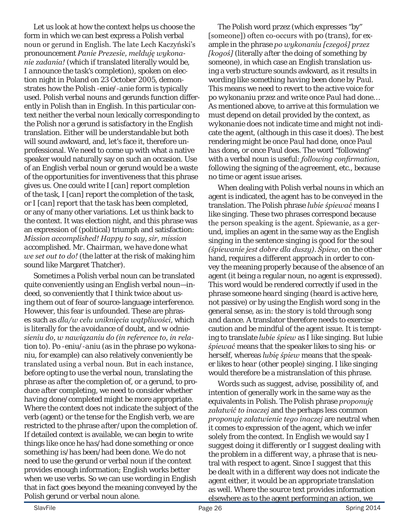Let us look at how the context helps us choose the form in which we can best express a Polish verbal noun or gerund in English. The late Lech Kaczyński's pronouncement *Panie Prezesie, melduję wykonanie zadania!* (which if translated literally would be, *I announce the task's completion*), spoken on election night in Poland on 23 October 2005, demonstrates how the Polish -*enie/*-*anie* form is typically used. Polish verbal nouns and gerunds function differently in Polish than in English. In this particular context neither the verbal noun lexically corresponding to the Polish nor a gerund is satisfactory in the English translation. Either will be understandable but both will sound awkward, and, let's face it, therefore unprofessional. We need to come up with what a native speaker would naturally say on such an occasion. Use of an English verbal noun or gerund would be a waste of the opportunities for inventiveness that this phrase gives us. One could write *I [can] report completion of the task, I [can] report the completion of the task*, or *I [can] report that the task has been completed*, or any of many other variations. Let us think back to the context. It was election night, and this phrase was an expression of (political) triumph and satisfaction: *Mission accomplished! Happy to say, sir, mission accomplished. Mr. Chairman, we have done what we set out to do!* (the latter at the risk of making him sound like Margaret Thatcher).

Sometimes a Polish verbal noun can be translated quite conveniently using an English verbal noun—indeed, so conveniently that I think twice about using them out of fear of source-language interference. However, this fear is unfounded. These are phrases such as *dla/w celu uniknięcia wątpliwości*, which is literally *for the avoidance of doubt*, and *w odniesieniu do, w nawiązaniu do (in reference to, in relation to*). *Po -eniu/-aniu* (as in the phrase *po wykonaniu*, for example) can also relatively conveniently be translated using a verbal noun. But in each instance, before opting to use the verbal noun, translating the phrase as *after the completion of*, or a gerund, to produce *after completing*, we need to consider whether *having done/completed* might be more appropriate. Where the context does not indicate the subject of the verb (agent) or the tense for the English verb, we are restricted to the phrase *after/upon the completion of*. If detailed context is available, we can begin to write things like *once he has/had done something* or *once something is/has been/had been done.* We do not need to use the gerund or verbal noun if the context provides enough information; English works better when we use verbs. So we can use wording in English that in fact goes beyond the meaning conveyed by the Polish gerund or verbal noun alone.

The Polish word *przez* (which expresses "by" [someone]) often co-occurs with *po (trans)*, for example in the phrase *po wykonaniu [czegoś] przez [kogoś]* (literally *after the doing of something by someone*), in which case an English translation using a verb structure sounds awkward, as it results in wording like *something having been done by Paul*. This means we need to revert to the active voice for *po wykonaniu przez* and write *once Paul had done*… As mentioned above, to arrive at this formulation we must depend on detail provided by the context, as *wykonanie* does not indicate time and might not indicate the agent, (although in this case it does). The best rendering might be *once Paul had done, once Paul has done,* or *once Paul does.* The word "following" with a verbal noun is useful: *following confirmation, following the signing of the agreement*, etc., because no time or agent issue arises.

When dealing with Polish verbal nouns in which an agent is indicated, the agent has to be conveyed in the translation. The Polish phrase *lubie śpiewać* means *I like singing*. These two phrases correspond because the person speaking is the agent. Śpiewanie, as a gerund, implies an agent in the same way as the English *singing* in the sentence *singing is good for the soul (śpiewanie jest dobre dla duszy)*. *Śpiew*, on the other hand, requires a different approach in order to convey the meaning properly because of the absence of an agent (it being a regular noun, no agent is expressed). This word would be rendered correctly if used in the phrase *someone heard singing* (*heard* is active here, not passive) or by using the English word *song* in the general sense, as in: *the story is told through song and dance*. A translator therefore needs to exercise caution and be mindful of the agent issue. It is tempting to translate *lubie śpiew* as *I like singing*. But *lubie śpiewać* means that the speaker *likes to sing his- or herself*, whereas *lubię śpiew* means that the speaker *likes to hear (other people) singing*. *I like singing* would therefore be a mistranslation of this phrase.

Words such as *suggest*, *advise*, *possibility of*, and *intention of* generally work in the same way as the equivalents in Polish. The Polish phrase *proponuję załatwić to inaczej* and the perhaps less common *proponuję załatwienie tego inaczej* are neutral when it comes to expression of the agent, which we infer solely from the context. In English we would say *I suggest doing it differently* or *I suggest dealing with the problem in a different way*, a phrase that is neutral with respect to agent. Since *I suggest that this be dealt with in a different* way does not indicate the agent either, it would be an appropriate translation as well. Where the source text provides information elsewhere as to the agent performing an action, we